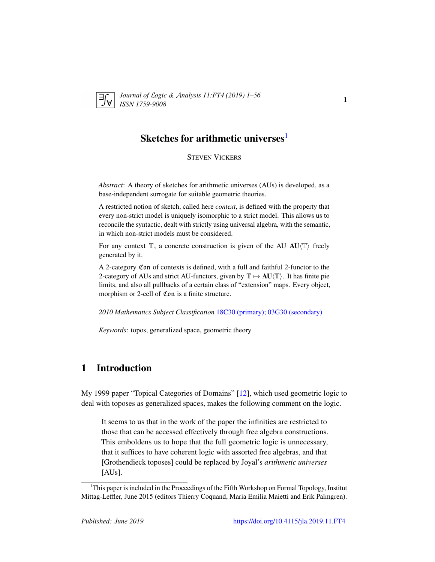<span id="page-0-1"></span>

*Journal of* L*ogic &* A*nalysis 11:FT4 (2019) 1–56 ISSN 1759-9008* <sup>1</sup>

# Sketches for arithmetic universes $^{\rm l}$

STEVEN VICKERS

*Abstract*: A theory of sketches for arithmetic universes (AUs) is developed, as a base-independent surrogate for suitable geometric theories.

A restricted notion of sketch, called here *context*, is defined with the property that every non-strict model is uniquely isomorphic to a strict model. This allows us to reconcile the syntactic, dealt with strictly using universal algebra, with the semantic, in which non-strict models must be considered.

For any context  $\mathbb{T}$ , a concrete construction is given of the AU AU $\langle \mathbb{T} \rangle$  freely generated by it.

A 2-category Con of contexts is defined, with a full and faithful 2-functor to the 2-category of AUs and strict AU-functors, given by  $\mathbb{T} \mapsto AU \langle \mathbb{T} \rangle$ . It has finite pie limits, and also all pullbacks of a certain class of "extension" maps. Every object, morphism or 2-cell of Con is a finite structure.

*2010 Mathematics Subject Classification* [18C30 \(primary\); 03G30 \(secondary\)](http://www.ams.org/mathscinet/search/mscdoc.html?code=18C30,(03G30))

*Keywords*: topos, generalized space, geometric theory

# 1 Introduction

My 1999 paper "Topical Categories of Domains" [\[12\]](#page-54-0), which used geometric logic to deal with toposes as generalized spaces, makes the following comment on the logic.

It seems to us that in the work of the paper the infinities are restricted to those that can be accessed effectively through free algebra constructions. This emboldens us to hope that the full geometric logic is unnecessary, that it suffices to have coherent logic with assorted free algebras, and that [Grothendieck toposes] could be replaced by Joyal's *arithmetic universes* [AUs].

<span id="page-0-0"></span><sup>&</sup>lt;sup>1</sup>This paper is included in the Proceedings of the Fifth Workshop on Formal Topology, Institut Mittag-Leffler, June 2015 (editors Thierry Coquand, Maria Emilia Maietti and Erik Palmgren).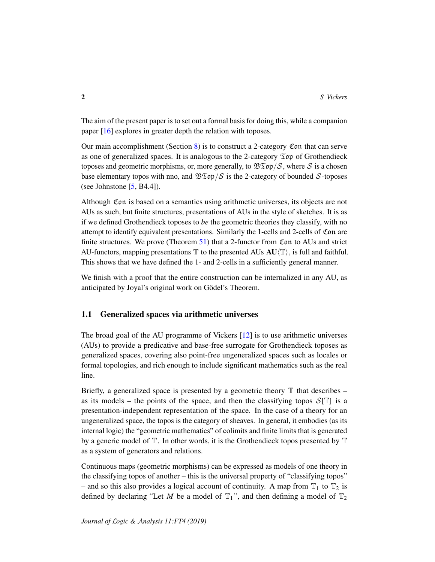The aim of the present paper is to set out a formal basis for doing this, while a companion paper [\[16\]](#page-55-0) explores in greater depth the relation with toposes.

Our main accomplishment (Section [8\)](#page-40-0) is to construct a 2-category Con that can serve as one of generalized spaces. It is analogous to the 2-category  $\mathfrak{Top}$  of Grothendieck toposes and geometric morphisms, or, more generally, to  $\mathfrak{BTop}/\mathcal{S}$ , where  $\mathcal S$  is a chosen base elementary topos with nno, and  $\mathcal{B}\mathfrak{Top}/\mathcal{S}$  is the 2-category of bounded  $\mathcal{S}$ -toposes (see Johnstone  $[5, B4.4]$  $[5, B4.4]$ ).

Although Con is based on a semantics using arithmetic universes, its objects are not AUs as such, but finite structures, presentations of AUs in the style of sketches. It is as if we defined Grothendieck toposes to *be* the geometric theories they classify, with no attempt to identify equivalent presentations. Similarly the 1-cells and 2-cells of Con are finite structures. We prove (Theorem [51\)](#page-51-0) that a 2-functor from Con to AUs and strict AU-functors, mapping presentations  $\mathbb T$  to the presented AUs  $AU(\mathbb T)$ , is full and faithful. This shows that we have defined the 1- and 2-cells in a sufficiently general manner.

We finish with a proof that the entire construction can be internalized in any AU, as anticipated by Joyal's original work on Gödel's Theorem.

# 1.1 Generalized spaces via arithmetic universes

The broad goal of the AU programme of Vickers [\[12\]](#page-54-0) is to use arithmetic universes (AUs) to provide a predicative and base-free surrogate for Grothendieck toposes as generalized spaces, covering also point-free ungeneralized spaces such as locales or formal topologies, and rich enough to include significant mathematics such as the real line.

Briefly, a generalized space is presented by a geometric theory  $\mathbb T$  that describes – as its models – the points of the space, and then the classifying topos  $S[T]$  is a presentation-independent representation of the space. In the case of a theory for an ungeneralized space, the topos is the category of sheaves. In general, it embodies (as its internal logic) the "geometric mathematics" of colimits and finite limits that is generated by a generic model of  $\mathbb T$ . In other words, it is the Grothendieck topos presented by  $\mathbb T$ as a system of generators and relations.

Continuous maps (geometric morphisms) can be expressed as models of one theory in the classifying topos of another – this is the universal property of "classifying topos" – and so this also provides a logical account of continuity. A map from  $\mathbb{T}_1$  to  $\mathbb{T}_2$  is defined by declaring "Let *M* be a model of  $T_1$ ", and then defining a model of  $T_2$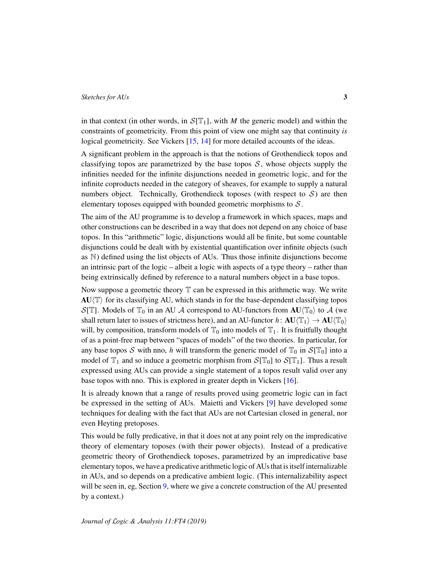in that context (in other words, in  $S[T_1]$ , with *M* the generic model) and within the constraints of geometricity. From this point of view one might say that continuity *is* logical geometricity. See Vickers [\[15,](#page-54-2) [14\]](#page-54-3) for more detailed accounts of the ideas.

A significant problem in the approach is that the notions of Grothendieck topos and classifying topos are parametrized by the base topos  $S$ , whose objects supply the infinities needed for the infinite disjunctions needed in geometric logic, and for the infinite coproducts needed in the category of sheaves, for example to supply a natural numbers object. Technically, Grothendieck toposes (with respect to  $S$ ) are then elementary toposes equipped with bounded geometric morphisms to  $S$ .

The aim of the AU programme is to develop a framework in which spaces, maps and other constructions can be described in a way that does not depend on any choice of base topos. In this "arithmetic" logic, disjunctions would all be finite, but some countable disjunctions could be dealt with by existential quantification over infinite objects (such as N) defined using the list objects of AUs. Thus those infinite disjunctions become an intrinsic part of the logic – albeit a logic with aspects of a type theory – rather than being extrinsically defined by reference to a natural numbers object in a base topos.

Now suppose a geometric theory  $\mathbb T$  can be expressed in this arithmetic way. We write  $AU(T)$  for its classifying AU, which stands in for the base-dependent classifying topos  $S[T]$ . Models of  $T_0$  in an AU A correspond to AU-functors from  $AU(T_0)$  to A (we shall return later to issues of strictness here), and an AU-functor  $h: \text{AU}(\mathbb{T}_1) \to \text{AU}(\mathbb{T}_0)$ will, by composition, transform models of  $\mathbb{T}_0$  into models of  $\mathbb{T}_1$ . It is fruitfully thought of as a point-free map between "spaces of models" of the two theories. In particular, for any base topos  $S$  with nno, *h* will transform the generic model of  $\mathbb{T}_0$  in  $S[\mathbb{T}_0]$  into a model of  $\mathbb{T}_1$  and so induce a geometric morphism from  $\mathcal{S}[\mathbb{T}_0]$  to  $\mathcal{S}[\mathbb{T}_1]$ . Thus a result expressed using AUs can provide a single statement of a topos result valid over any base topos with nno. This is explored in greater depth in Vickers [\[16\]](#page-55-0).

It is already known that a range of results proved using geometric logic can in fact be expressed in the setting of AUs. Maietti and Vickers [\[9\]](#page-54-4) have developed some techniques for dealing with the fact that AUs are not Cartesian closed in general, nor even Heyting pretoposes.

This would be fully predicative, in that it does not at any point rely on the impredicative theory of elementary toposes (with their power objects). Instead of a predicative geometric theory of Grothendieck toposes, parametrized by an impredicative base elementary topos, we have a predicative arithmetic logic of AUs that is itself internalizable in AUs, and so depends on a predicative ambient logic. (This internalizability aspect will be seen in, eg, Section [9,](#page-50-0) where we give a concrete construction of the AU presented by a context.)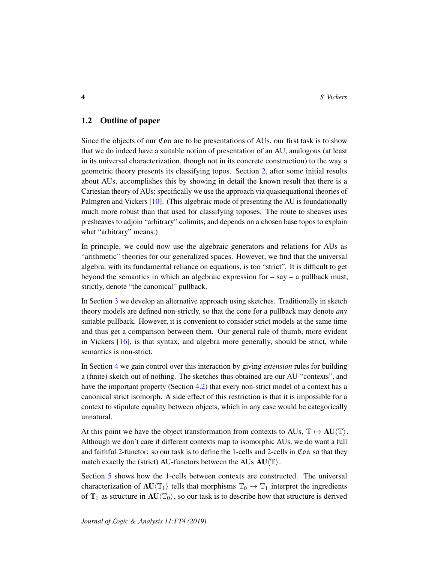# 1.2 Outline of paper

Since the objects of our Con are to be presentations of AUs, our first task is to show that we do indeed have a suitable notion of presentation of an AU, analogous (at least in its universal characterization, though not in its concrete construction) to the way a geometric theory presents its classifying topos. Section [2,](#page-4-0) after some initial results about AUs, accomplishes this by showing in detail the known result that there is a Cartesian theory of AUs; specifically we use the approach via quasiequational theories of Palmgren and Vickers [\[10\]](#page-54-5). (This algebraic mode of presenting the AU is foundationally much more robust than that used for classifying toposes. The route to sheaves uses presheaves to adjoin "arbitrary" colimits, and depends on a chosen base topos to explain what "arbitrary" means.)

In principle, we could now use the algebraic generators and relations for AUs as "arithmetic" theories for our generalized spaces. However, we find that the universal algebra, with its fundamental reliance on equations, is too "strict". It is difficult to get beyond the semantics in which an algebraic expression for – say – a pullback must, strictly, denote "the canonical" pullback.

In Section [3](#page-12-0) we develop an alternative approach using sketches. Traditionally in sketch theory models are defined non-strictly, so that the cone for a pullback may denote *any* suitable pullback. However, it is convenient to consider strict models at the same time and thus get a comparison between them. Our general rule of thumb, more evident in Vickers [\[16\]](#page-55-0), is that syntax, and algebra more generally, should be strict, while semantics is non-strict.

In Section [4](#page-17-0) we gain control over this interaction by giving *extension* rules for building a (finite) sketch out of nothing. The sketches thus obtained are our AU-"contexts", and have the important property (Section [4.2\)](#page-22-0) that every non-strict model of a context has a canonical strict isomorph. A side effect of this restriction is that it is impossible for a context to stipulate equality between objects, which in any case would be categorically unnatural.

At this point we have the object transformation from contexts to AUs,  $\mathbb{T} \mapsto AU \langle \mathbb{T} \rangle$ . Although we don't care if different contexts map to isomorphic AUs, we do want a full and faithful 2-functor: so our task is to define the 1-cells and 2-cells in Con so that they match exactly the (strict) AU-functors between the AUs  $AU/\mathbb{T}$ ).

Section [5](#page-25-0) shows how the 1-cells between contexts are constructed. The universal characterization of  $AU(T_1)$  tells that morphisms  $T_0 \to T_1$  interpret the ingredients of  $\mathbb{T}_1$  as structure in  $AU(\mathbb{T}_0)$ , so our task is to describe how that structure is derived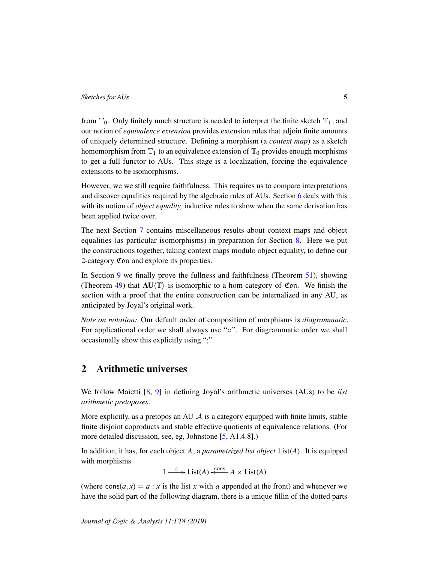from  $\mathbb{T}_0$ . Only finitely much structure is needed to interpret the finite sketch  $\mathbb{T}_1$ , and our notion of *equivalence extension* provides extension rules that adjoin finite amounts of uniquely determined structure. Defining a morphism (a *context map*) as a sketch homomorphism from  $\mathbb{T}_1$  to an equivalence extension of  $\mathbb{T}_0$  provides enough morphisms to get a full functor to AUs. This stage is a localization, forcing the equivalence extensions to be isomorphisms.

However, we we still require faithfulness. This requires us to compare interpretations and discover equalities required by the algebraic rules of AUs. Section [6](#page-31-0) deals with this with its notion of *object equality,* inductive rules to show when the same derivation has been applied twice over.

The next Section [7](#page-34-0) contains miscellaneous results about context maps and object equalities (as particular isomorphisms) in preparation for Section [8.](#page-40-0) Here we put the constructions together, taking context maps modulo object equality, to define our 2-category Con and explore its properties.

In Section [9](#page-50-0) we finally prove the fullness and faithfulness (Theorem [51\)](#page-51-0), showing (Theorem [49\)](#page-50-1) that  $AU(T)$  is isomorphic to a hom-category of Con. We finish the section with a proof that the entire construction can be internalized in any AU, as anticipated by Joyal's original work.

*Note on notation:* Our default order of composition of morphisms is *diagrammatic*. For applicational order we shall always use "◦". For diagrammatic order we shall occasionally show this explicitly using ";".

# <span id="page-4-0"></span>2 Arithmetic universes

We follow Maietti [\[8,](#page-54-6) [9\]](#page-54-4) in defining Joyal's arithmetic universes (AUs) to be *list arithmetic pretoposes*.

More explicitly, as a pretopos an AU  $\mathcal A$  is a category equipped with finite limits, stable finite disjoint coproducts and stable effective quotients of equivalence relations. (For more detailed discussion, see, eg, Johnstone [\[5,](#page-54-1) A1.4.8].)

In addition, it has, for each object *A*, a *parametrized list object* List(*A*). It is equipped with morphisms

$$
1 \xrightarrow{\varepsilon} \text{List}(A) \xleftarrow{\text{cons}} A \times \text{List}(A)
$$

(where  $\cos(a, x) = a : x$  is the list *x* with *a* appended at the front) and whenever we have the solid part of the following diagram, there is a unique fillin of the dotted parts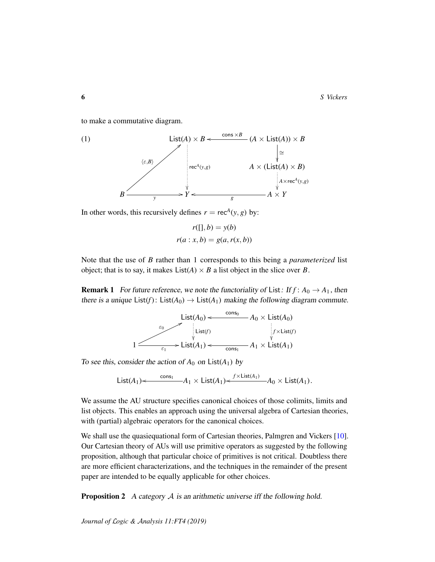to make a commutative diagram.

<span id="page-5-0"></span>(1) List(*A*) × *B* rec*<sup>A</sup>* (*y*,*g*) (*A* × List(*A*)) × *B* cons <sup>×</sup>*<sup>B</sup>* <sup>o</sup> ∼= *A* × (List(*A*) × *B*) *A*×rec*<sup>A</sup>* (*y*,*g*) *B* hε,*B*i = *y* /*Y* o *g A* × *Y*

In other words, this recursively defines  $r = \text{rec}^{A}(y, g)$  by:

$$
r([], b) = y(b)
$$

$$
r(a : x, b) = g(a, r(x, b))
$$

Note that the use of *B* rather than 1 corresponds to this being a *parameterized* list object; that is to say, it makes  $List(A) \times B$  a list object in the slice over *B*.

<span id="page-5-1"></span>**Remark 1** For future reference, we note the functoriality of List: If  $f : A_0 \to A_1$ , then there is a unique  $List(f)$ :  $List(A_0) \rightarrow List(A_1)$  making the following diagram commute.

$$
\begin{array}{ccc}\n & \text{List}(A_0) < & \frac{\text{cons}_0}{\text{Cons}_0} & A_0 \times \text{List}(A_0) \\
 & & \downarrow & \text{List}(f) \\
 & & \downarrow & \text{List}(f) \\
 & & \downarrow & \text{List}(f) \\
 & & \downarrow & \text{List}(A_1) \\
 & & \downarrow & \text{List}(A_1)\n\end{array}
$$

To see this, consider the action of  $A_0$  on  $List(A_1)$  by

List(A<sub>1</sub>)
$$
\leftarrow
$$
  $\xrightarrow{\text{cons}_1}$  - A<sub>1</sub>  $\times$  List(A<sub>1</sub>) $\leftarrow$   $\xrightarrow{f \times \text{List}(A_1)}$  - A<sub>0</sub>  $\times$  List(A<sub>1</sub>).

We assume the AU structure specifies canonical choices of those colimits, limits and list objects. This enables an approach using the universal algebra of Cartesian theories, with (partial) algebraic operators for the canonical choices.

We shall use the quasiequational form of Cartesian theories, Palmgren and Vickers [\[10\]](#page-54-5). Our Cartesian theory of AUs will use primitive operators as suggested by the following proposition, although that particular choice of primitives is not critical. Doubtless there are more efficient characterizations, and the techniques in the remainder of the present paper are intended to be equally applicable for other choices.

**Proposition 2** A category  $A$  is an arithmetic universe iff the following hold.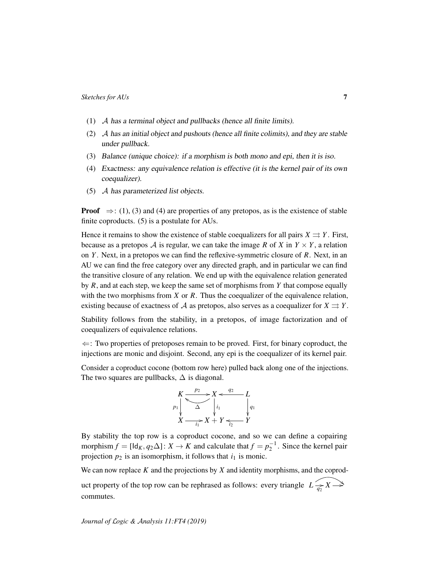- (1) A has a terminal object and pullbacks (hence all finite limits).
- (2) A has an initial object and pushouts (hence all finite colimits), and they are stable under pullback.
- (3) Balance (unique choice): if a morphism is both mono and epi, then it is iso.
- (4) Exactness: any equivalence relation is effective (it is the kernel pair of its own coequalizer).
- (5) A has parameterized list objects.

**Proof**  $\Rightarrow$ : (1), (3) and (4) are properties of any pretopos, as is the existence of stable finite coproducts. (5) is a postulate for AUs.

Hence it remains to show the existence of stable coequalizers for all pairs  $X \rightrightarrows Y$ . First, because as a pretopos A is regular, we can take the image R of X in  $Y \times Y$ , a relation on *Y* . Next, in a pretopos we can find the reflexive-symmetric closure of *R*. Next, in an AU we can find the free category over any directed graph, and in particular we can find the transitive closure of any relation. We end up with the equivalence relation generated by *R*, and at each step, we keep the same set of morphisms from *Y* that compose equally with the two morphisms from *X* or *R*. Thus the coequalizer of the equivalence relation, existing because of exactness of A as pretopos, also serves as a coequalizer for  $X \rightrightarrows Y$ .

Stability follows from the stability, in a pretopos, of image factorization and of coequalizers of equivalence relations.

 $\Leftarrow$ : Two properties of pretoposes remain to be proved. First, for binary coproduct, the injections are monic and disjoint. Second, any epi is the coequalizer of its kernel pair.

Consider a coproduct cocone (bottom row here) pulled back along one of the injections. The two squares are pullbacks,  $\Delta$  is diagonal.



By stability the top row is a coproduct cocone, and so we can define a copairing morphism  $f = [\mathsf{Id}_K, q_2 \Delta] : X \to K$  and calculate that  $f = p_2^{-1}$ . Since the kernel pair projection  $p_2$  is an isomorphism, it follows that  $i_1$  is monic.

We can now replace *K* and the projections by *X* and identity morphisms, and the coproduct property of the top row can be rephrased as follows: every triangle  $L \rightarrow \rightarrow X \rightarrow Y$ commutes.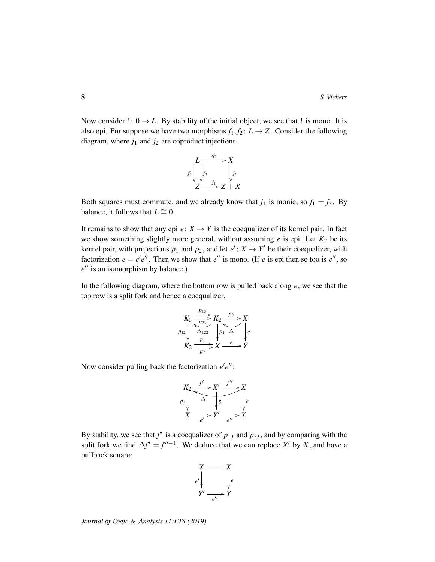Now consider  $\cdot : 0 \to L$ . By stability of the initial object, we see that  $\cdot$  is mono. It is also epi. For suppose we have two morphisms  $f_1, f_2: L \to Z$ . Consider the following diagram, where  $j_1$  and  $j_2$  are coproduct injections.

$$
L \xrightarrow{q_2} X
$$
  
\n
$$
f_1 \downarrow f_2 \downarrow f_2
$$
  
\n
$$
Z \xrightarrow{j_1} Z + X
$$

Both squares must commute, and we already know that  $j_1$  is monic, so  $f_1 = f_2$ . By balance, it follows that  $L \cong 0$ .

It remains to show that any epi  $e: X \to Y$  is the coequalizer of its kernel pair. In fact we show something slightly more general, without assuming  $e$  is epi. Let  $K_2$  be its kernel pair, with projections  $p_1$  and  $p_2$ , and let  $e' : X \to Y'$  be their coequalizer, with factorization  $e = e'e''$ . Then we show that  $e''$  is mono. (If *e* is epi then so too is  $e''$ , so  $e^{\prime\prime}$  is an isomorphism by balance.)

In the following diagram, where the bottom row is pulled back along *e*, we see that the top row is a split fork and hence a coequalizer.

$$
K_3 \xrightarrow[p_{13}]{p_{13}} K_2 \xrightarrow[p_{23}]{p_{23}} K_2 \xrightarrow[p_1 \Delta]{p_{23}} X
$$
  

$$
K_2 \xrightarrow[p_1]{p_1} X \xrightarrow{e} Y
$$

Now consider pulling back the factorization  $e'e''$ :

$$
K_2 \xrightarrow{f'} X' \xrightarrow{f''} X
$$
  
\n
$$
P_1 \downarrow \xrightarrow{\Delta} \downarrow g
$$
  
\n
$$
X \xrightarrow{e'} Y' \xrightarrow{e''} Y
$$

By stability, we see that  $f'$  is a coequalizer of  $p_{13}$  and  $p_{23}$ , and by comparing with the split fork we find  $\Delta f' = f''^{-1}$ . We deduce that we can replace *X'* by *X*, and have a pullback square:

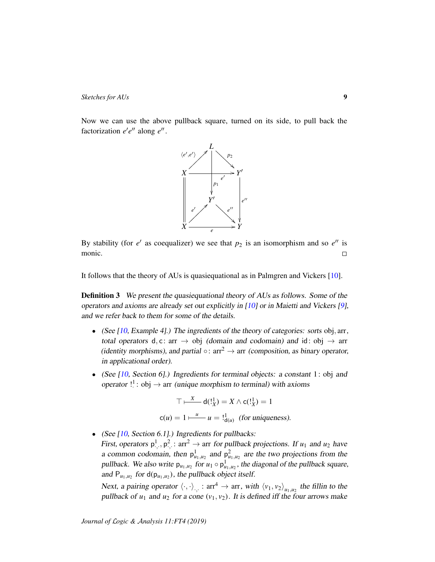Now we can use the above pullback square, turned on its side, to pull back the factorization  $e'e''$  along  $e''$ .



By stability (for  $e'$  as coequalizer) we see that  $p_2$  is an isomorphism and so  $e''$  is monic.  $\Box$ 

It follows that the theory of AUs is quasiequational as in Palmgren and Vickers [\[10\]](#page-54-5).

**Definition 3** We present the quasiequational theory of AUs as follows. Some of the operators and axioms are already set out explicitly in [\[10\]](#page-54-5) or in Maietti and Vickers [\[9\]](#page-54-4), and we refer back to them for some of the details.

- (See  $[10, \text{Example 4}]$  $[10, \text{Example 4}]$ .) The ingredients of the theory of categories: sorts obj, arr, total operators d, c: arr  $\rightarrow$  obj (domain and codomain) and id: obj  $\rightarrow$  arr (identity morphisms), and partial  $\circ$ : arr<sup>2</sup>  $\rightarrow$  arr (composition, as binary operator, in applicational order).
- (See [\[10,](#page-54-5) Section 6].) Ingredients for terminal objects: a constant 1: obj and operator  $!$ <sup>1</sup>: obj  $\rightarrow$  arr (unique morphism to terminal) with axioms

$$
\top \vdash^X_{\text{max}} d(1_X^1) = X \land c(1_X^1) = 1
$$
  
 
$$
c(u) = 1 \vdash^u_{\text{max}} u = 1_{d(u)}^1 \text{ (for uniqueness)}.
$$

• (See  $[10, Section 6.1]$  $[10, Section 6.1]$ .) Ingredients for pullbacks:

First, operators  $p^1, p^2, \text{ or } z \to \text{arr}$  for pullback projections. If  $u_1$  and  $u_2$  have a common codomain, then  $p_{u_1,u_2}^1$  and  $p_{u_1,u_2}^2$  are the two projections from the pullback. We also write  $p_{u_1, u_2}$  for  $u_1 \circ p_{u_1, u_2}^1$ , the diagonal of the pullback square, and  $P_{u_1, u_2}$  for  $d(p_{u_1, u_2})$ , the pullback object itself.

Next, a pairing operator  $\langle \cdot, \cdot \rangle_{\cdot, \cdot}$ :  $arr^4 \to arr$ , with  $\langle v_1, v_2 \rangle_{u_1, u_2}$  the fillin to the pullback of  $u_1$  and  $u_2$  for a cone  $(v_1, v_2)$ . It is defined iff the four arrows make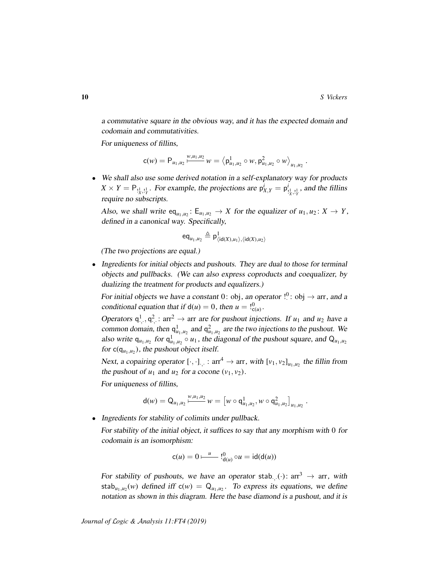.

.

a commutative square in the obvious way, and it has the expected domain and codomain and commutativities.

For uniqueness of fillins,

$$
c(w) = P_{u_1, u_2} \frac{w, u_1, u_2}{\cdots} w = \left\langle p_{u_1, u_2}^1 \circ w, p_{u_1, u_2}^2 \circ w \right\rangle_{u_1, u_2}
$$

• We shall also use some derived notation in a self-explanatory way for products  $X \times Y = \mathsf{P}_{\frac{1}{2},\frac{1}{2}}$ . For example, the projections are  $\mathsf{p}_{X,Y}^i = \mathsf{p}_{Y,Y}^i$  $\frac{d}{dx}$ ,  $\frac{1}{y}$ , and the fillins require no subscripts.

Also, we shall write  $eq_{u_1, u_2}$ :  $E_{u_1, u_2} \to X$  for the equalizer of  $u_1, u_2$ :  $X \to Y$ , defined in a canonical way. Specifically,

$$
\operatorname{eq}_{u_1,u_2} \triangleq \mathsf{p}^1_{\langle \operatorname{\mathsf{id}}(X),u_1\rangle,\langle \operatorname{\mathsf{id}}(X),u_2\rangle}
$$

(The two projections are equal.)

• Ingredients for initial objects and pushouts. They are dual to those for terminal objects and pullbacks. (We can also express coproducts and coequalizer, by dualizing the treatment for products and equalizers.)

For initial objects we have a constant 0: obj, an operator  $!^0$ : obj  $\rightarrow$  arr, and a conditional equation that if  $d(u) = 0$ , then  $u = 0$ ,  $\int_{c(u)}^{0}$ .

Operators  $q^1, q^2, \text{arr}^2 \to \text{arr}$  are for pushout injections. If  $u_1$  and  $u_2$  have a common domain, then  $q_{u_1,u_2}^1$  and  $q_{u_1,u_2}^2$  are the two injections to the pushout. We also write  $q_{u_1,u_2}$  for  $q_{u_1,u_2}^1 \circ u_1$ , the diagonal of the pushout square, and  $Q_{u_1,u_2}$ for  $c(q_{u_1,u_2})$ , the pushout object itself.

Next, a copairing operator  $[\cdot, \cdot]_{\cdot, \cdot}$ :  $arr^4 \to arr$ , with  $[v_1, v_2]_{u_1, u_2}$  the fillin from the pushout of  $u_1$  and  $u_2$  for a cocone  $(v_1, v_2)$ .

For uniqueness of fillins,

$$
\mathsf{d}(w) = \mathsf{Q}_{u_1,u_2} \, \substack{w,u_1,u_2 \\ \longmapsto} \, w = \big[ w \circ \mathsf{q}^1_{u_1,u_2}, w \circ \mathsf{q}^2_{u_1,u_2} \big]_{u_1,u_2}
$$

• Ingredients for stability of colimits under pullback.

For stability of the initial object, it suffices to say that any morphism with 0 for codomain is an isomorphism:

$$
c(u) = 0 \xrightarrow{u} \mathsf{l}_{d(u)}^0 \circ u = \mathsf{id}(d(u))
$$

For stability of pushouts, we have an operator stab.  $\therefore$   $\cdot$  : arr<sup>3</sup>  $\rightarrow$  arr, with stab<sub>u<sub>1,u2</sub>(w) defined iff  $c(w) = Q_{u_1,u_2}$ . To express its equations, we define</sub> notation as shown in this diagram. Here the base diamond is a pushout, and it is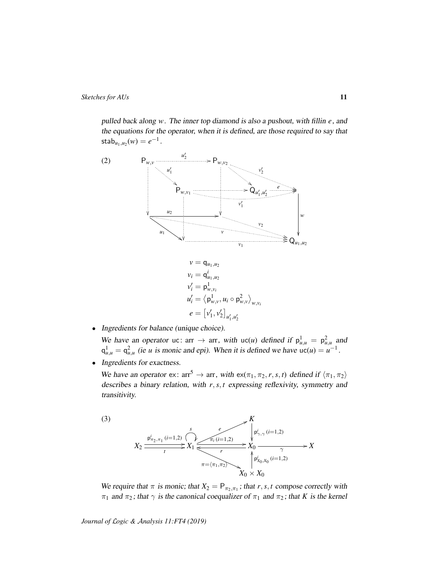pulled back along *w*. The inner top diamond is also a pushout, with fillin *e*, and the equations for the operator, when it is defined, are those required to say that  $\text{stab}_{u_1, u_2}(w) = e^{-1}.$ 

<span id="page-10-0"></span>

$$
v_i = \mathbf{q}_{u_1, u_2}
$$
  
\n
$$
v'_i = \mathbf{p}_{w, v_i}^1
$$
  
\n
$$
u'_i = \langle \mathbf{p}_{w, v}^1, u_i \circ \mathbf{p}_{w, v}^2 \rangle_{w, v_i}
$$
  
\n
$$
e = [v'_1, v'_2]_{u'_1, u'_2}
$$

• Ingredients for balance (unique choice).

We have an operator uc:  $\arctan \theta$  arr, with uc(*u*) defined if  $p_{u,u}^1 = p_{u,u}^2$  and  $q_{u,u}^1 = q_{u,u}^2$  (ie *u* is monic and epi). When it is defined we have  $uc(u) = u^{-1}$ .

• Ingredients for exactness.

We have an operator ex: arr<sup>5</sup> → arr, with ex(π1, π2,*r*,*s*, *t*) defined if hπ1, π2i describes a binary relation, with *r*,*s*, *t* expressing reflexivity, symmetry and transitivity.

<span id="page-10-1"></span>

We require that  $\pi$  is monic; that  $X_2 = P_{\pi_2, \pi_1}$ ; that  $r, s, t$  compose correctly with  $π<sub>1</sub>$  and  $π<sub>2</sub>$ ; that  $γ$  is the canonical coequalizer of  $π<sub>1</sub>$  and  $π<sub>2</sub>$ ; that *K* is the kernel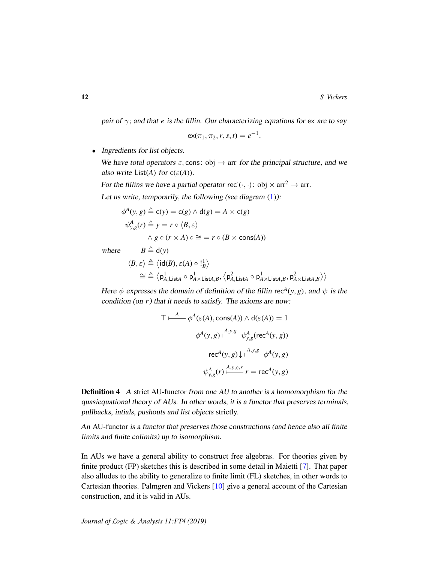pair of  $\gamma$ ; and that *e* is the fillin. Our characterizing equations for ex are to say

$$
\mathsf{ex}(\pi_1, \pi_2, r, s, t) = e^{-1}.
$$

• Ingredients for list objects.

We have total operators  $\varepsilon$ , cons: obj  $\rightarrow$  arr for the principal structure, and we also write  $List(A)$  for  $c(\varepsilon(A))$ .

For the fillins we have a partial operator rec $(\cdot, \cdot)$ : obj  $\times$  arr<sup>2</sup>  $\rightarrow$  arr. Let us write, temporarily, the following (see diagram  $(1)$ ):

$$
\phi^{A}(y, g) \triangleq c(y) = c(g) \land d(g) = A \times c(g)
$$

$$
\psi^{A}_{y, g}(r) \triangleq y = r \circ \langle B, \varepsilon \rangle
$$

$$
\land g \circ (r \times A) \circ \cong = r \circ (B \times \text{cons}(A))
$$

where  $B \triangleq d(v)$ 

$$
\langle B, \varepsilon \rangle \triangleq \langle \text{id}(B), \varepsilon(A) \circ \mathsf{I}_{B}^{1} \rangle
$$
  
\n
$$
\cong \triangleq \langle \mathsf{p}_{A, \textsf{List}A}^{1} \circ \mathsf{p}_{A \times \textsf{List}A,B}^{1}, \langle \mathsf{p}_{A, \textsf{List}A}^{2} \circ \mathsf{p}_{A \times \textsf{List}A,B}^{1}, \mathsf{p}_{A \times \textsf{List}A,B}^{2} \rangle \rangle
$$

Here  $\phi$  expresses the domain of definition of the fillin rec<sup>A</sup>(y, g), and  $\psi$  is the condition (on *r*) that it needs to satisfy. The axioms are now:

$$
\top \vdash^{A} \phi^{A}(\varepsilon(A), \text{cons}(A)) \land \mathsf{d}(\varepsilon(A)) = 1
$$

$$
\phi^{A}(y, g) \vdash^{A, y, g}_{y, g} (\text{rec}^{A}(y, g))
$$

$$
\text{rec}^{A}(y, g) \downarrow \vdash^{A, y, g}_{y, g} \phi^{A}(y, g)
$$

$$
\psi^{A}_{y, g}(r) \vdash^{A, y, g, r}_{y, g}(r) = \text{rec}^{A}(y, g)
$$

**Definition 4** A strict AU-functor from one AU to another is a homomorphism for the quasiequational theory of AUs. In other words, it is a functor that preserves terminals, pullbacks, intials, pushouts and list objects strictly.

An AU-functor is a functor that preserves those constructions (and hence also all finite limits and finite colimits) up to isomorphism.

In AUs we have a general ability to construct free algebras. For theories given by finite product (FP) sketches this is described in some detail in Maietti [\[7\]](#page-54-7). That paper also alludes to the ability to generalize to finite limit (FL) sketches, in other words to Cartesian theories. Palmgren and Vickers [\[10\]](#page-54-5) give a general account of the Cartesian construction, and it is valid in AUs.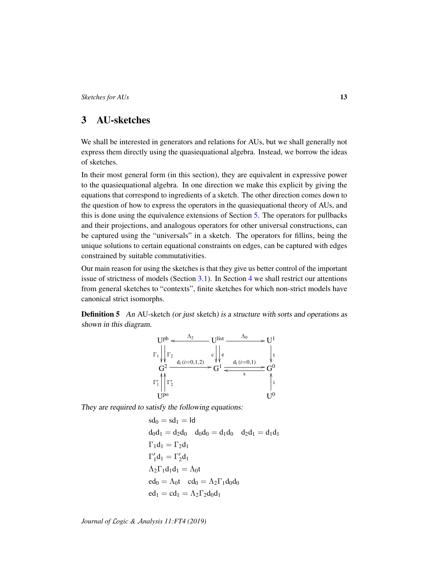# <span id="page-12-0"></span>3 AU-sketches

We shall be interested in generators and relations for AUs, but we shall generally not express them directly using the quasiequational algebra. Instead, we borrow the ideas of sketches.

In their most general form (in this section), they are equivalent in expressive power to the quasiequational algebra. In one direction we make this explicit by giving the equations that correspond to ingredients of a sketch. The other direction comes down to the question of how to express the operators in the quasiequational theory of AUs, and this is done using the equivalence extensions of Section [5.](#page-25-0) The operators for pullbacks and their projections, and analogous operators for other universal constructions, can be captured using the "universals" in a sketch. The operators for fillins, being the unique solutions to certain equational constraints on edges, can be captured with edges constrained by suitable commutativities.

Our main reason for using the sketches is that they give us better control of the important issue of strictness of models (Section [3.1\)](#page-14-0). In Section [4](#page-17-0) we shall restrict our attentions from general sketches to "contexts", finite sketches for which non-strict models have canonical strict isomorphs.

<span id="page-12-1"></span>**Definition 5** An AU-sketch (or just sketch) is a structure with sorts and operations as shown in this diagram.



They are required to satisfy the following equations:

```
sd_0 = sd_1 = Idd_0d_1 = d_2d_0 d_0d_0 = d_1d_0 d_2d_1 = d_1d_1\Gamma_1 d_1 = \Gamma_2 d_1\Gamma'_1 d_1 = \Gamma'_2 d_1\Lambda_2\Gamma_1d_1d_1 = \Lambda_0ted_0 = \Lambda_0 t cd_0 = \Lambda_2 \Gamma_1 d_0 d_0ed_1 = cd_1 = \Lambda_2 \Gamma_2 d_0 d_1
```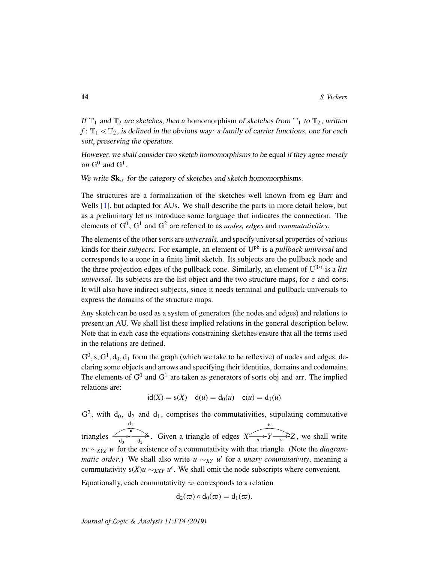If  $\mathbb{T}_1$  and  $\mathbb{T}_2$  are sketches, then a homomorphism of sketches from  $\mathbb{T}_1$  to  $\mathbb{T}_2$ , written  $f: \mathbb{T}_1 \leq \mathbb{T}_2$ , is defined in the obvious way: a family of carrier functions, one for each sort, preserving the operators.

However, we shall consider two sketch homomorphisms to be equal if they agree merely on  $G^0$  and  $G^1$ .

We write  $Sk_{\leq}$  for the category of sketches and sketch homomorphisms.

The structures are a formalization of the sketches well known from eg Barr and Wells [\[1\]](#page-53-0), but adapted for AUs. We shall describe the parts in more detail below, but as a preliminary let us introduce some language that indicates the connection. The elements of  $G^0$ ,  $G^1$  and  $G^2$  are referred to as *nodes, edges* and *commutativities*.

The elements of the other sorts are *universals,* and specify universal properties of various kinds for their *subjects*. For example, an element of Upb is a *pullback universal* and corresponds to a cone in a finite limit sketch. Its subjects are the pullback node and the three projection edges of the pullback cone. Similarly, an element of Ulist is a *list universal.* Its subjects are the list object and the two structure maps, for  $\varepsilon$  and cons. It will also have indirect subjects, since it needs terminal and pullback universals to express the domains of the structure maps.

Any sketch can be used as a system of generators (the nodes and edges) and relations to present an AU. We shall list these implied relations in the general description below. Note that in each case the equations constraining sketches ensure that all the terms used in the relations are defined.

 $G^0$ , s,  $G^1$ ,  $d_0$ ,  $d_1$  form the graph (which we take to be reflexive) of nodes and edges, declaring some objects and arrows and specifying their identities, domains and codomains. The elements of  $G^0$  and  $G^1$  are taken as generators of sorts obj and arr. The implied relations are:

$$
id(X) = s(X) \quad d(u) = d_0(u) \quad c(u) = d_1(u)
$$

 $G^2$ , with  $d_0$ ,  $d_2$  and  $d_1$ , comprises the commutativities, stipulating commutative triangles  $\frac{1}{d_0}$  $d_1$  $\overrightarrow{d_2}$ . Given a triangle of edges  $X \rightarrow Y$ *w*  $Y \rightarrow Z$ , we shall write *uv* ∼*XYZ w* for the existence of a commutativity with that triangle. (Note the *diagrammatic order*.) We shall also write *u* ∼*XY u*<sup>*'*</sup> for a *unary commutativity*, meaning a commutativity  $s(X)u \sim_{XXY} u'$ . We shall omit the node subscripts where convenient.

Equationally, each commutativity  $\varpi$  corresponds to a relation

$$
d_2(\varpi) \circ d_0(\varpi) = d_1(\varpi).
$$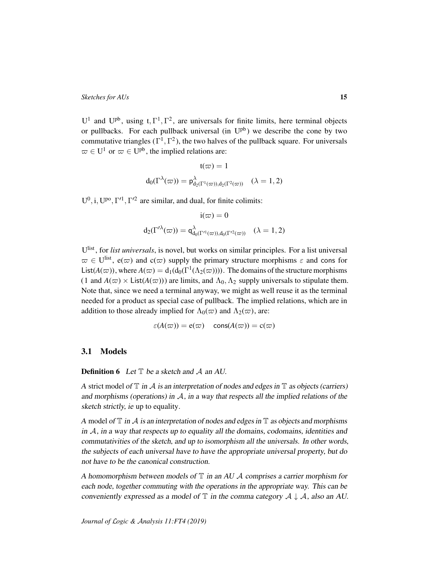U<sup>1</sup> and U<sup>pb</sup>, using t,  $\Gamma^1$ ,  $\Gamma^2$ , are universals for finite limits, here terminal objects or pullbacks. For each pullback universal (in  $U^{pb}$ ) we describe the cone by two commutative triangles ( $\Gamma^1, \Gamma^2$ ), the two halves of the pullback square. For universals  $\omega \in U^1$  or  $\omega \in U^{pb}$ , the implied relations are:

$$
\mathfrak{t}(\varpi)=1
$$
  

$$
\mathsf{d}_0(\Gamma^\lambda(\varpi))=\mathsf{p}^\lambda_{\mathsf{d}_2(\Gamma^1(\varpi)),\mathsf{d}_2(\Gamma^2(\varpi))} \quad (\lambda=1,2)
$$

 $U^0$ , i,  $U^{po}$ ,  $\Gamma'^1$ ,  $\Gamma'^2$  are similar, and dual, for finite colimits:

$$
\begin{array}{c} \mathrm{i}(\varpi)=0 \\[2mm] \mathrm{d}_2(\Gamma'^{\lambda}(\varpi))=\mathsf{q}^{\lambda}_{\mathrm{d}_0(\Gamma'^1(\varpi)),\mathrm{d}_0(\Gamma'^2(\varpi))} \quad (\lambda=1,2) \end{array}
$$

U list , for *list universals*, is novel, but works on similar principles. For a list universal  $\omega \in U^{\text{list}}$ ,  $e(\omega)$  and  $c(\omega)$  supply the primary structure morphisms  $\varepsilon$  and cons for List( $A(\varpi)$ ), where  $A(\varpi) = d_1(d_0(\Gamma^1(\Lambda_2(\varpi))))$ . The domains of the structure morphisms (1 and  $A(\varpi) \times$  List( $A(\varpi)$ )) are limits, and  $\Lambda_0, \Lambda_2$  supply universals to stipulate them. Note that, since we need a terminal anyway, we might as well reuse it as the terminal needed for a product as special case of pullback. The implied relations, which are in addition to those already implied for  $\Lambda_0(\varpi)$  and  $\Lambda_2(\varpi)$ , are:

$$
\varepsilon(A(\varpi)) = \mathbf{e}(\varpi) \quad \text{cons}(A(\varpi)) = \mathbf{c}(\varpi)
$$

## <span id="page-14-0"></span>3.1 Models

### **Definition 6** Let  $T$  be a sketch and  $A$  an AU.

A strict model of  $\mathbb T$  in  $\mathcal A$  is an interpretation of nodes and edges in  $\mathbb T$  as objects (carriers) and morphisms (operations) in  $A$ , in a way that respects all the implied relations of the sketch strictly, ie up to equality.

A model of  $\mathbb T$  in A is an interpretation of nodes and edges in  $\mathbb T$  as objects and morphisms in  $A$ , in a way that respects up to equality all the domains, codomains, identities and commutativities of the sketch, and up to isomorphism all the universals. In other words, the subjects of each universal have to have the appropriate universal property, but do not have to be the canonical construction.

A homomorphism between models of  $\mathbb T$  in an AU  $\mathcal A$  comprises a carrier morphism for each node, together commuting with the operations in the appropriate way. This can be conveniently expressed as a model of  $\mathbb T$  in the comma category  $\mathcal A \downarrow \mathcal A$ , also an AU.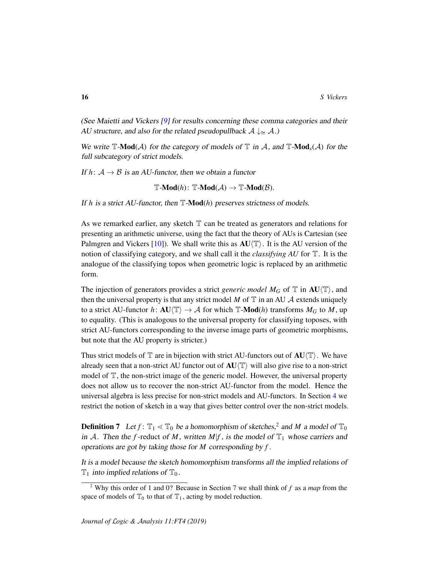(See Maietti and Vickers [\[9\]](#page-54-4) for results concerning these comma categories and their AU structure, and also for the related pseudopullback  $A \downarrow \cong A$ .)

We write  $\mathbb{T}\text{-}\mathbf{Mod}(\mathcal{A})$  for the category of models of  $\mathbb{T}$  in  $\mathcal{A}$ , and  $\mathbb{T}\text{-}\mathbf{Mod}_{s}(\mathcal{A})$  for the full subcategory of strict models.

If  $h: A \rightarrow B$  is an AU-functor, then we obtain a functor

 $\mathbb{T}\text{-}\mathbf{Mod}(h)$ :  $\mathbb{T}\text{-}\mathbf{Mod}(\mathcal{A}) \to \mathbb{T}\text{-}\mathbf{Mod}(\mathcal{B})$ .

If  $h$  is a strict AU-functor, then  $\mathbb{T}\text{-}\mathbf{Mod}(h)$  preserves strictness of models.

As we remarked earlier, any sketch  $\mathbb T$  can be treated as generators and relations for presenting an arithmetic universe, using the fact that the theory of AUs is Cartesian (see Palmgren and Vickers [\[10\]](#page-54-5)). We shall write this as  $AU(T)$ . It is the AU version of the notion of classifying category, and we shall call it the *classifying AU* for T. It is the analogue of the classifying topos when geometric logic is replaced by an arithmetic form.

The injection of generators provides a strict *generic model*  $M_G$  of  $\mathbb T$  in  $AU(\mathbb T)$ , and then the universal property is that any strict model  $M$  of  $T$  in an AU  $\mathcal A$  extends uniquely to a strict AU-functor *h*:  $AU(\mathbb{T}) \rightarrow A$  for which  $\mathbb{T}\text{-}\mathbf{Mod}(h)$  transforms  $M_G$  to M, up to equality. (This is analogous to the universal property for classifying toposes, with strict AU-functors corresponding to the inverse image parts of geometric morphisms, but note that the AU property is stricter.)

Thus strict models of  $\mathbb T$  are in bijection with strict AU-functors out of  $AU(\mathbb T)$ . We have already seen that a non-strict AU functor out of  $AU(T)$  will also give rise to a non-strict model of T, the non-strict image of the generic model. However, the universal property does not allow us to recover the non-strict AU-functor from the model. Hence the universal algebra is less precise for non-strict models and AU-functors. In Section [4](#page-17-0) we restrict the notion of sketch in a way that gives better control over the non-strict models.

**Definition 7** Let  $f: \mathbb{T}_1 \leq \mathbb{T}_0$  be a homomorphism of sketches,<sup>[2](#page-15-0)</sup> and *M* a model of  $\mathbb{T}_0$ in A. Then the *f*-reduct of *M*, written  $M|f$ , is the model of  $\mathbb{T}_1$  whose carriers and operations are got by taking those for *M* corresponding by *f* .

It is a model because the sketch homomorphism transforms all the implied relations of  $\mathbb{T}_1$  into implied relations of  $\mathbb{T}_0$ .

<span id="page-15-0"></span><sup>2</sup> Why this order of 1 and 0? Because in Section [7](#page-34-0) we shall think of *f* as a *map* from the space of models of  $\mathbb{T}_0$  to that of  $\mathbb{T}_1$ , acting by model reduction.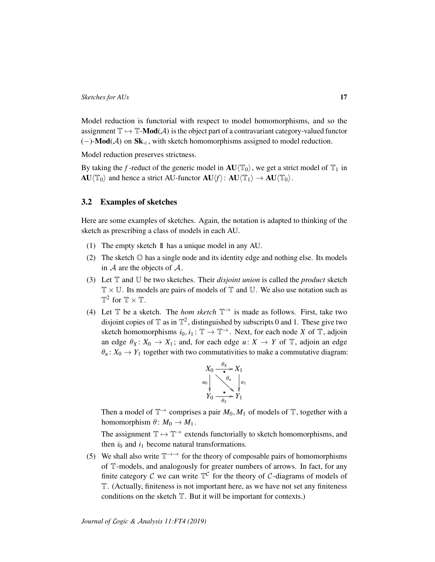Model reduction is functorial with respect to model homomorphisms, and so the assignment  $\mathbb{T} \mapsto \mathbb{T}$ -**Mod**( $\mathcal{A}$ ) is the object part of a contravariant category-valued functor  $(-)$ -**Mod**( $\mathcal{A}$ ) on  $\mathbf{Sk}_{\leq}$ , with sketch homomorphisms assigned to model reduction.

Model reduction preserves strictness.

By taking the *f*-reduct of the generic model in  $AU(T_0)$ , we get a strict model of  $T_1$  in  $AU\langle \mathbb{T}_0\rangle$  and hence a strict AU-functor  $AU\langle f\rangle$ :  $AU\langle \mathbb{T}_1\rangle \rightarrow AU\langle \mathbb{T}_0\rangle$ .

# <span id="page-16-0"></span>3.2 Examples of sketches

Here are some examples of sketches. Again, the notation is adapted to thinking of the sketch as prescribing a class of models in each AU.

- (1) The empty sketch 11 has a unique model in any AU.
- (2) The sketch O has a single node and its identity edge and nothing else. Its models in  $A$  are the objects of  $A$ .
- (3) Let T and U be two sketches. Their *disjoint union* is called the *product* sketch  $\mathbb{T} \times \mathbb{U}$ . Its models are pairs of models of  $\mathbb{T}$  and  $\mathbb{U}$ . We also use notation such as  $\mathbb{T}^2$  for  $\mathbb{T} \times \mathbb{T}$ .
- (4) Let  $\mathbb T$  be a sketch. The *hom sketch*  $\mathbb T^{\rightarrow}$  is made as follows. First, take two disjoint copies of  $\mathbb T$  as in  $\mathbb T^2$ , distinguished by subscripts 0 and 1. These give two sketch homomorphisms  $i_0, i_1 : \mathbb{T} \to \mathbb{T}^+$ . Next, for each node *X* of  $\mathbb{T}$ , adjoin an edge  $\theta_X : X_0 \to X_1$ ; and, for each edge  $u: X \to Y$  of  $\mathbb{T}$ , adjoin an edge  $\theta_u$ :  $X_0 \rightarrow Y_1$  together with two commutativities to make a commutative diagram:

$$
X_0 \xrightarrow{\theta_X} X_1
$$
  
\n
$$
u_0 \qquad \downarrow \qquad u_1
$$
  
\n
$$
Y_0 \xrightarrow{\theta_u} Y_1
$$

Then a model of  $\mathbb{T}^{\to}$  comprises a pair  $M_0, M_1$  of models of  $\mathbb{T}$ , together with a homomorphism  $\theta: M_0 \to M_1$ .

The assignment  $\mathbb{T} \mapsto \mathbb{T}^{\rightarrow}$  extends functorially to sketch homomorphisms, and then  $i_0$  and  $i_1$  become natural transformations.

(5) We shall also write  $\mathbb{T} \rightarrow$  for the theory of composable pairs of homomorphisms of T-models, and analogously for greater numbers of arrows. In fact, for any finite category C we can write  $\mathbb{T}^{\mathcal{C}}$  for the theory of C-diagrams of models of T. (Actually, finiteness is not important here, as we have not set any finiteness conditions on the sketch  $T$ . But it will be important for contexts.)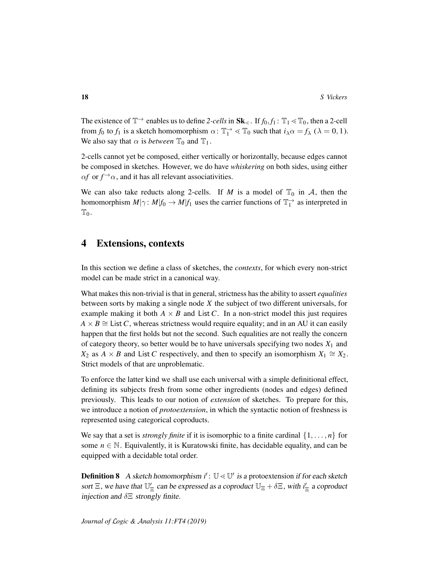The existence of  $\mathbb{T}^{\to}$  enables us to define 2-cells in  $\mathbf{Sk}_{\leq}$ . If  $f_0, f_1 : \mathbb{T}_1 \leq \mathbb{T}_0$ , then a 2-cell from  $f_0$  to  $f_1$  is a sketch homomorphism  $\alpha$ :  $\mathbb{T}_1^{\rightarrow} \ll \mathbb{T}_0$  such that  $i_{\lambda} \alpha = f_{\lambda}$  ( $\lambda = 0, 1$ ). We also say that  $\alpha$  is *between*  $\mathbb{T}_0$  and  $\mathbb{T}_1$ .

2-cells cannot yet be composed, either vertically or horizontally, because edges cannot be composed in sketches. However, we do have *whiskering* on both sides, using either  $\alpha f$  or  $f^{\rightarrow} \alpha$ , and it has all relevant associativities.

We can also take reducts along 2-cells. If *M* is a model of  $\mathbb{T}_0$  in *A*, then the homomorphism  $M|\gamma: M|f_0 \to M|f_1$  uses the carrier functions of  $\mathbb{T}_1^{\to}$  as interpreted in  $\mathbb{T}_0$ .

# <span id="page-17-0"></span>4 Extensions, contexts

In this section we define a class of sketches, the *contexts*, for which every non-strict model can be made strict in a canonical way.

What makes this non-trivial is that in general, strictness has the ability to assert *equalities* between sorts by making a single node *X* the subject of two different universals, for example making it both  $A \times B$  and List *C*. In a non-strict model this just requires  $A \times B \cong$  List *C*, whereas strictness would require equality; and in an AU it can easily happen that the first holds but not the second. Such equalities are not really the concern of category theory, so better would be to have universals specifying two nodes  $X_1$  and *X*<sub>2</sub> as *A*  $\times$  *B* and List *C* respectively, and then to specify an isomorphism  $X_1 \cong X_2$ . Strict models of that are unproblematic.

To enforce the latter kind we shall use each universal with a simple definitional effect, defining its subjects fresh from some other ingredients (nodes and edges) defined previously. This leads to our notion of *extension* of sketches. To prepare for this, we introduce a notion of *protoextension*, in which the syntactic notion of freshness is represented using categorical coproducts.

We say that a set is *strongly finite* if it is isomorphic to a finite cardinal  $\{1, \ldots, n\}$  for some  $n \in \mathbb{N}$ . Equivalently, it is Kuratowski finite, has decidable equality, and can be equipped with a decidable total order.

**Definition 8** A sketch homomorphism  $i'$ :  $\mathbb{U} \ll \mathbb{U}'$  is a protoextension if for each sketch sort  $\Xi$ , we have that  $\mathbb{U}'_{\Xi}$  can be expressed as a coproduct  $\mathbb{U}_{\Xi} + \delta \Xi$ , with  $i'_{\Xi}$  a coproduct injection and  $\delta \Xi$  strongly finite.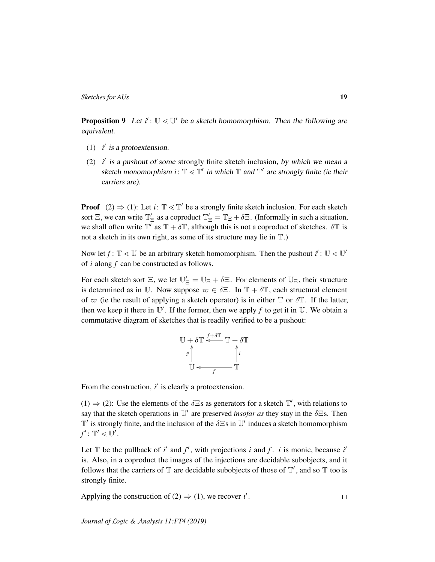<span id="page-18-0"></span>**Proposition 9** Let  $i'$ :  $\mathbb{U} \leq \mathbb{U}'$  be a sketch homomorphism. Then the following are equivalent.

- (1)  $i'$  is a protoextension.
- (2)  $i'$  is a pushout of some strongly finite sketch inclusion, by which we mean a sketch monomorphism  $i: \mathbb{T} \leq \mathbb{T}'$  in which  $\mathbb{T}$  and  $\mathbb{T}'$  are strongly finite (ie their carriers are).

**Proof** (2)  $\Rightarrow$  (1): Let *i*:  $\mathbb{T} \leq \mathbb{T}'$  be a strongly finite sketch inclusion. For each sketch sort  $\Xi$ , we can write  $\mathbb{T}'_{\Xi}$  as a coproduct  $\mathbb{T}'_{\Xi} = \mathbb{T}_{\Xi} + \delta \Xi$ . (Informally in such a situation, we shall often write  $\mathbb{T}'$  as  $\mathbb{T} + \delta \mathbb{T}$ , although this is not a coproduct of sketches.  $\delta \mathbb{T}$  is not a sketch in its own right, as some of its structure may lie in T.)

Now let  $f: \mathbb{T} \leq U$  be an arbitrary sketch homomorphism. Then the pushout  $i': U \leq U'$ of *i* along *f* can be constructed as follows.

For each sketch sort  $\Xi$ , we let  $\mathbb{U}'_{\Xi} = \mathbb{U}_{\Xi} + \delta \Xi$ . For elements of  $\mathbb{U}_{\Xi}$ , their structure is determined as in U. Now suppose  $\varpi \in \delta \Xi$ . In  $\mathbb{T} + \delta \mathbb{T}$ , each structural element of  $\varpi$  (ie the result of applying a sketch operator) is in either  $\mathbb T$  or  $\delta \mathbb T$ . If the latter, then we keep it there in  $\mathbb{U}'$ . If the former, then we apply f to get it in  $\mathbb{U}$ . We obtain a commutative diagram of sketches that is readily verified to be a pushout:

$$
\mathbb{U} + \delta \mathbb{T} \stackrel{f + \delta \mathbb{T}}{\longleftarrow} \mathbb{T} + \delta \mathbb{T}
$$
\n
$$
\downarrow \qquad \qquad \downarrow \qquad \qquad \downarrow \qquad \downarrow
$$
\n
$$
\mathbb{U} \stackrel{\longleftarrow}{\longleftarrow} \mathbb{T}
$$

From the construction,  $i'$  is clearly a protoextension.

(1)  $\Rightarrow$  (2): Use the elements of the  $\delta \Xi$ s as generators for a sketch  $\mathbb{T}'$ , with relations to say that the sketch operations in  $\mathbb{U}'$  are preserved *insofar as* they stay in the  $\delta \Xi$ s. Then  $\mathbb{T}'$  is strongly finite, and the inclusion of the  $\delta \Xi$ s in  $\mathbb{U}'$  induces a sketch homomorphism  $f'$ :  $\mathbb{T}' \lessdot \mathbb{U}'$ .

Let  $\mathbb T$  be the pullback of *i'* and  $f'$ , with projections *i* and *f*. *i* is monic, because *i'* is. Also, in a coproduct the images of the injections are decidable subobjects, and it follows that the carriers of  $\mathbb T$  are decidable subobjects of those of  $\mathbb T'$ , and so  $\mathbb T$  too is strongly finite.

Applying the construction of (2) 
$$
\Rightarrow
$$
 (1), we recover *i'*.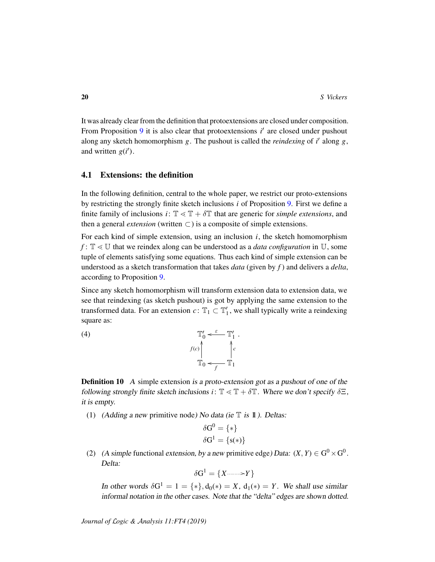It was already clear from the definition that protoextensions are closed under composition. From Proposition [9](#page-18-0) it is also clear that protoextensions *i'* are closed under pushout along any sketch homomorphism *g*. The pushout is called the *reindexing* of *i* 0 along *g*, and written  $g(i')$ .

# 4.1 Extensions: the definition

In the following definition, central to the whole paper, we restrict our proto-extensions by restricting the strongly finite sketch inclusions *i* of Proposition [9.](#page-18-0) First we define a finite family of inclusions  $i: \mathbb{T} \leq \mathbb{T} + \delta \mathbb{T}$  that are generic for *simple extensions*, and then a general *extension* (written  $\subset$ ) is a composite of simple extensions.

For each kind of simple extension, using an inclusion *i*, the sketch homomorphism *f* :  $\mathbb{T} \leq \mathbb{U}$  that we reindex along can be understood as a *data configuration* in  $\mathbb{U}$ , some tuple of elements satisfying some equations. Thus each kind of simple extension can be understood as a sketch transformation that takes *data* (given by *f* ) and delivers a *delta*, according to Proposition [9.](#page-18-0)

Since any sketch homomorphism will transform extension data to extension data, we see that reindexing (as sketch pushout) is got by applying the same extension to the transformed data. For an extension  $c: \mathbb{T}_1 \subset \mathbb{T}'_1$ , we shall typically write a reindexing square as:



<span id="page-19-0"></span>**Definition 10** A simple extension is a proto-extension got as a pushout of one of the following strongly finite sketch inclusions *i*:  $\mathbb{T} \leq \mathbb{T} + \delta \mathbb{T}$ . Where we don't specify  $\delta \Xi$ , it is empty.

<span id="page-19-1"></span>*c*

.

(1) (Adding a new primitive node) No data (ie  $\mathbb T$  is  $\mathbb 1$ ). Deltas:

$$
\delta G^0 = \{ * \}
$$

$$
\delta G^1 = \{ s(*) \}
$$

(2) (A simple functional extension, by a new primitive edge) Data:  $(X, Y) \in G^0 \times G^0$ . Delta:

$$
\delta \mathrm{G}^1 = \{X \text{---} \rightarrow Y\}
$$

In other words  $\delta G^1 = 1 = \{ * \}, d_0(*) = X$ ,  $d_1(*) = Y$ . We shall use similar informal notation in the other cases. Note that the "delta" edges are shown dotted.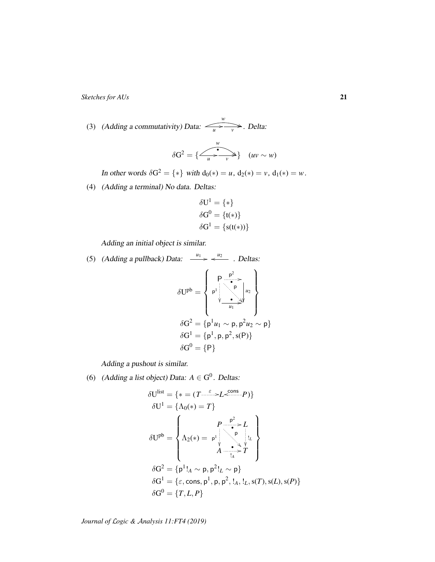(3) (Adding a commutativity) Data:  $\frac{1}{u}$ *w* ( *v* /. Delta:

$$
\delta G^2 = \{ \overbrace{u \xrightarrow{w}}^{w} \} \quad (uv \sim w)
$$

In other words  $\delta G^2 = \{ * \}$  with  $d_0(*) = u$ ,  $d_2(*) = v$ ,  $d_1(*) = w$ .

(4) (Adding a terminal) No data. Deltas:

$$
\delta U^{1} = \{ * \}
$$

$$
\delta G^{0} = \{ t(*) \}
$$

$$
\delta G^{1} = \{ s(t(*)) \}
$$

Adding an initial object is similar.

(5) (Adding a pullback) Data: 
$$
\xrightarrow{u_1} \xleftarrow{u_2} \xleftarrow{u_2}
$$
. Deltas:  
\n
$$
\delta U^{pb} = \begin{Bmatrix} p & p^2 \\ p^1 & p^2 \\ p^2 & p^3 \end{Bmatrix} u_2
$$
\n
$$
\delta G^2 = \{p^1 u_1 \sim p, p^2 u_2 \sim p\}
$$
\n
$$
\delta G^1 = \{p^1, p, p^2, s(P)\}
$$
\n
$$
\delta G^0 = \{P\}
$$

Adding a pushout is similar.

(6) (Adding a list object) Data:  $A \in G^0$ . Deltas:

$$
\delta U^{list} = \{ * = (T \xrightarrow{\varepsilon} L \xleftarrow{\text{cons}} P) \}
$$

$$
\delta U^{1} = \{ \Lambda_{0}(*) = T \}
$$

$$
\delta U^{pb} = \begin{cases} P \xrightarrow{\mathsf{p}^{2}} L \\ \Lambda_{2}(*) = \mathsf{p}^{1} \xrightarrow{\mathsf{p}^{2}} \mathsf{p}^{1} \\ A \xrightarrow{\mathsf{p}^{2}} T \end{cases}
$$

$$
\delta G^{2} = \{ \mathsf{p}^{1}!_{A} \sim \mathsf{p}, \mathsf{p}^{2}!_{L} \sim \mathsf{p} \}
$$

$$
\delta G^{1} = \{ \varepsilon, \text{cons}, \mathsf{p}^{1}, \mathsf{p}, \mathsf{p}^{2}, !_{A}, !_{L}, s(T), s(L), s(P) \}
$$

$$
\delta G^{0} = \{ T, L, P \}
$$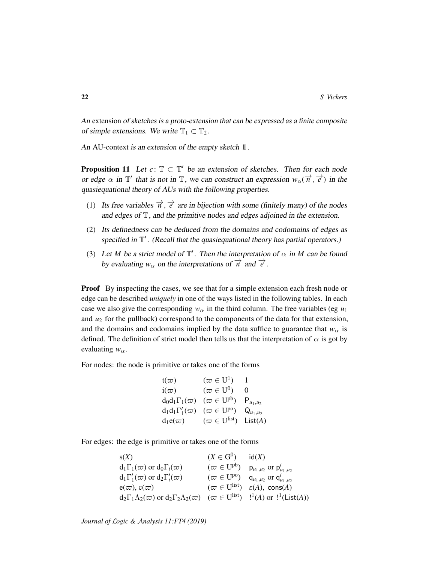An extension of sketches is a proto-extension that can be expressed as a finite composite of simple extensions. We write  $\mathbb{T}_1 \subset \mathbb{T}_2$ .

An AU-context is an extension of the empty sketch  $\mathbbm{1}$ .

**Proposition 11** Let  $c: \mathbb{T} \subset \mathbb{T}'$  be an extension of sketches. Then for each node or edge  $\alpha$  in  $\mathbb{T}'$  that is not in  $\mathbb{T}$ , we can construct an expression  $w_{\alpha}(\vec{n}, \vec{e})$  in the quasiequational theory of AUs with the following properties.

- (1) Its free variables  $\vec{n}, \vec{e}$  are in bijection with some (finitely many) of the nodes and edges of T, and the primitive nodes and edges adjoined in the extension.
- (2) Its definedness can be deduced from the domains and codomains of edges as specified in  $\mathbb{T}'$ . (Recall that the quasiequational theory has partial operators.)
- (3) Let *M* be a strict model of  $\mathbb{T}'$ . Then the interpretation of  $\alpha$  in *M* can be found by evaluating  $w_{\alpha}$  on the interpretations of  $\overrightarrow{n}$  and  $\overrightarrow{e}$ .

Proof By inspecting the cases, we see that for a simple extension each fresh node or edge can be described *uniquely* in one of the ways listed in the following tables. In each case we also give the corresponding  $w_\alpha$  in the third column. The free variables (eg  $u_1$ ) and *u*<sup>2</sup> for the pullback) correspond to the components of the data for that extension, and the domains and codomains implied by the data suffice to guarantee that  $w_\alpha$  is defined. The definition of strict model then tells us that the interpretation of  $\alpha$  is got by evaluating  $w_\alpha$ .

For nodes: the node is primitive or takes one of the forms

$$
\begin{array}{llll}\n\mathfrak{t}(\varpi) & (\varpi \in U^1) & 1 \\
\mathfrak{i}(\varpi) & (\varpi \in U^0) & 0 \\
\mathfrak{d}_0 \mathfrak{d}_1 \Gamma_1(\varpi) & (\varpi \in U^{pb}) & \mathsf{P}_{u_1, u_2} \\
\mathfrak{d}_1 \mathfrak{d}_1 \Gamma'_1(\varpi) & (\varpi \in U^{po}) & \mathsf{Q}_{u_1, u_2} \\
\mathfrak{d}_1 \mathfrak{e}(\varpi) & (\varpi \in U^{\text{list}}) & \text{List}(A)\n\end{array}
$$

For edges: the edge is primitive or takes one of the forms

s(X) 
$$
(X \in G^{0}) \text{ id}(X)
$$
  
\n
$$
d_{1}\Gamma_{1}(\varpi) \text{ or } d_{0}\Gamma_{i}(\varpi) \qquad (\varpi \in U^{pb}) \text{ } p_{u_{1},u_{2}} \text{ or } p_{u_{1},u_{2}}^{i}
$$
  
\n
$$
d_{1}\Gamma'_{1}(\varpi) \text{ or } d_{2}\Gamma'_{i}(\varpi) \qquad (\varpi \in U^{po}) \text{ } q_{u_{1},u_{2}} \text{ or } q_{u_{1},u_{2}}^{i}
$$
  
\n
$$
e(\varpi), c(\varpi) \qquad (\varpi \in U^{list}) \text{ } \varepsilon(A), \text{ cons}(A)
$$
  
\n
$$
d_{2}\Gamma_{1}\Lambda_{2}(\varpi) \text{ or } d_{2}\Gamma_{2}\Lambda_{2}(\varpi) \qquad (\varpi \in U^{list}) \text{ } !^{1}(A) \text{ or } !^{1}(\text{List}(A))
$$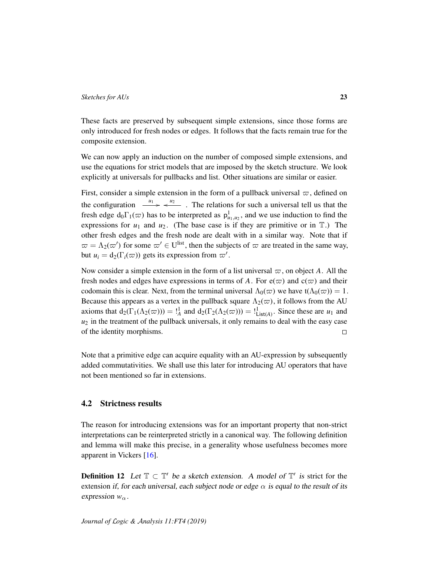These facts are preserved by subsequent simple extensions, since those forms are only introduced for fresh nodes or edges. It follows that the facts remain true for the composite extension.

We can now apply an induction on the number of composed simple extensions, and use the equations for strict models that are imposed by the sketch structure. We look explicitly at universals for pullbacks and list. Other situations are similar or easier.

First, consider a simple extension in the form of a pullback universal  $\varpi$ , defined on the configuration  $\frac{u_1}{u_2} \leftarrow \frac{u_2}{u_1}$ . The relations for such a universal tell us that the fresh edge  $d_0 \Gamma_1(\varpi)$  has to be interpreted as  $p^1_{u_1, u_2}$ , and we use induction to find the expressions for  $u_1$  and  $u_2$ . (The base case is if they are primitive or in  $\mathbb{T}$ .) The other fresh edges and the fresh node are dealt with in a similar way. Note that if  $\omega = \Lambda_2(\omega')$  for some  $\omega' \in U^{\text{list}}$ , then the subjects of  $\omega$  are treated in the same way, but  $u_i = d_2(\Gamma_i(\varpi))$  gets its expression from  $\varpi'$ .

Now consider a simple extension in the form of a list universal  $\varpi$ , on object A. All the fresh nodes and edges have expressions in terms of A. For  $e(\varpi)$  and  $c(\varpi)$  and their codomain this is clear. Next, from the terminal universal  $\Lambda_0(\varpi)$  we have t( $\Lambda_0(\varpi)$ ) = 1. Because this appears as a vertex in the pullback square  $\Lambda_2(\varpi)$ , it follows from the AU axioms that  $d_2(\Gamma_1(\Lambda_2(\varpi))) = \frac{1}{4}$  and  $d_2(\Gamma_2(\Lambda_2(\varpi))) = \frac{1}{4}$  ist<sub>(*A*)</sub>. Since these are *u*<sub>1</sub> and  $u_2$  in the treatment of the pullback universals, it only remains to deal with the easy case of the identity morphisms.  $\Box$ 

Note that a primitive edge can acquire equality with an AU-expression by subsequently added commutativities. We shall use this later for introducing AU operators that have not been mentioned so far in extensions.

# <span id="page-22-0"></span>4.2 Strictness results

The reason for introducing extensions was for an important property that non-strict interpretations can be reinterpreted strictly in a canonical way. The following definition and lemma will make this precise, in a generality whose usefulness becomes more apparent in Vickers [\[16\]](#page-55-0).

**Definition 12** Let  $\mathbb{T} \subset \mathbb{T}'$  be a sketch extension. A model of  $\mathbb{T}'$  is strict for the extension if, for each universal, each subject node or edge  $\alpha$  is equal to the result of its expression  $w_{\alpha}$ .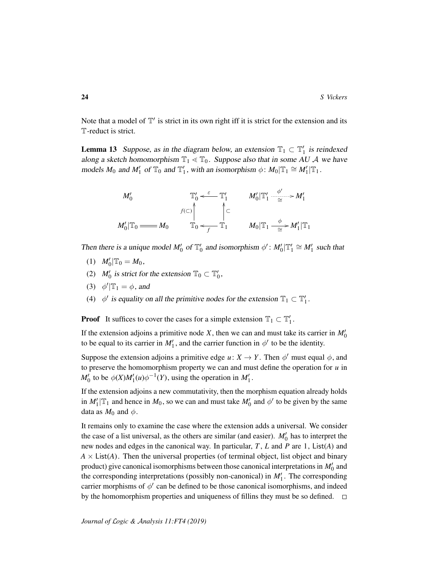Note that a model of  $\mathbb{T}'$  is strict in its own right iff it is strict for the extension and its T-reduct is strict.

**Lemma 13** Suppose, as in the diagram below, an extension  $\mathbb{T}_1 \subset \mathbb{T}'_1$  is reindexed along a sketch homomorphism  $\mathbb{T}_1 \le \mathbb{T}_0$ . Suppose also that in some AU A we have models  $M_0$  and  $M'_1$  of  $\mathbb{T}_0$  and  $\mathbb{T}'_1$ , with an isomorphism  $\phi: M_0 | \mathbb{T}_1 \cong M'_1 | \mathbb{T}_1$ .

$$
M'_0 \qquad \qquad \mathbb{T}'_0 \stackrel{\varepsilon}{\longleftarrow} \mathbb{T}'_1 \qquad M'_0 | \mathbb{T}'_1 \stackrel{\phi'}{\underset{\simeq}{\longleftarrow}} M'_1
$$

$$
M'_0 | \mathbb{T}_0 \stackrel{\uparrow}{\longleftarrow} M_0 \qquad \qquad \uparrow \subset
$$

$$
M'_0 | \mathbb{T}_0 \stackrel{\uparrow}{\longleftarrow} M_0 | \mathbb{T}_1 \stackrel{\phi}{\underset{\simeq}{\longleftarrow}} M'_1 | \mathbb{T}_1
$$

Then there is a unique model  $M'_0$  of  $\mathbb{T}'_0$  and isomorphism  $\phi' : M'_0 | \mathbb{T}'_1 \cong M'_1$  such that

- (1)  $M'_0|T_0 = M_0$ ,
- (2)  $M'_0$  is strict for the extension  $\mathbb{T}_0 \subset \mathbb{T}'_0$ ,
- (3)  $\phi'|\mathbb{T}_1 = \phi$ , and
- (4)  $\phi'$  is equality on all the primitive nodes for the extension  $\mathbb{T}_1 \subset \mathbb{T}'_1$ .

**Proof** It suffices to cover the cases for a simple extension  $\mathbb{T}_1 \subset \mathbb{T}'_1$ .

If the extension adjoins a primitive node  $X$ , then we can and must take its carrier in  $M'_0$ to be equal to its carrier in  $M_1'$ , and the carrier function in  $\phi'$  to be the identity.

Suppose the extension adjoins a primitive edge  $u: X \to Y$ . Then  $\phi'$  must equal  $\phi$ , and to preserve the homomorphism property we can and must define the operation for *u* in  $M'_0$  to be  $\phi(X)M'_1(u)\phi^{-1}(Y)$ , using the operation in  $M'_1$ .

If the extension adjoins a new commutativity, then the morphism equation already holds in  $M'_1|\mathbb{T}_1$  and hence in  $M_0$ , so we can and must take  $M'_0$  and  $\phi'$  to be given by the same data as  $M_0$  and  $\phi$ .

It remains only to examine the case where the extension adds a universal. We consider the case of a list universal, as the others are similar (and easier).  $M'_0$  has to interpret the new nodes and edges in the canonical way. In particular, *T* , *L* and *P* are 1, List(*A*) and  $A \times$  List(*A*). Then the universal properties (of terminal object, list object and binary product) give canonical isomorphisms between those canonical interpretations in  $M_0'$  and the corresponding interpretations (possibly non-canonical) in  $M'_1$ . The corresponding carrier morphisms of  $\phi'$  can be defined to be those canonical isomorphisms, and indeed by the homomorphism properties and uniqueness of fillins they must be so defined.  $\square$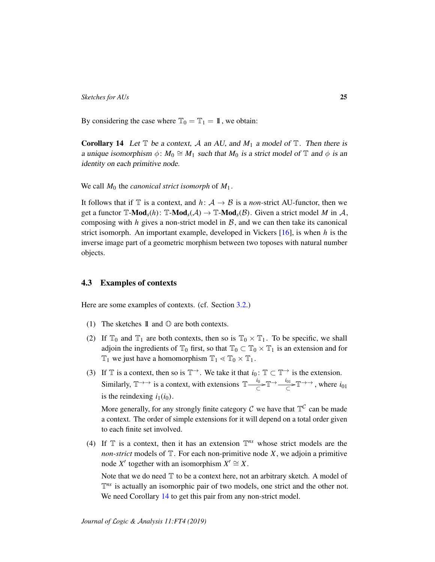By considering the case where  $\mathbb{T}_0 = \mathbb{T}_1 = 1$ , we obtain:

<span id="page-24-0"></span>**Corollary 14** Let  $\mathbb T$  be a context, A an AU, and  $M_1$  a model of  $\mathbb T$ . Then there is a unique isomorphism  $\phi$ :  $M_0 \cong M_1$  such that  $M_0$  is a strict model of  $\mathbb T$  and  $\phi$  is an identity on each primitive node.

We call  $M_0$  the *canonical strict isomorph* of  $M_1$ .

It follows that if  $\mathbb T$  is a context, and  $h: \mathcal A \to \mathcal B$  is a *non*-strict AU-functor, then we get a functor  $\mathbb{T}\text{-}\mathbf{Mod}_s(h)$ :  $\mathbb{T}\text{-}\mathbf{Mod}_s(\mathcal{A}) \to \mathbb{T}\text{-}\mathbf{Mod}_s(\mathcal{B})$ . Given a strict model *M* in  $\mathcal{A}$ , composing with  $h$  gives a non-strict model in  $B$ , and we can then take its canonical strict isomorph. An important example, developed in Vickers [\[16\]](#page-55-0), is when *h* is the inverse image part of a geometric morphism between two toposes with natural number objects.

# 4.3 Examples of contexts

Here are some examples of contexts. (cf. Section [3.2.](#page-16-0))

- (1) The sketches  $\mathbb{1}$  and  $\mathbb{O}$  are both contexts.
- (2) If  $\mathbb{T}_0$  and  $\mathbb{T}_1$  are both contexts, then so is  $\mathbb{T}_0 \times \mathbb{T}_1$ . To be specific, we shall adjoin the ingredients of  $\mathbb{T}_0$  first, so that  $\mathbb{T}_0 \subset \mathbb{T}_0 \times \mathbb{T}_1$  is an extension and for  $\mathbb{T}_1$  we just have a homomorphism  $\mathbb{T}_1 \ll \mathbb{T}_0 \times \mathbb{T}_1$ .
- (3) If  $\mathbb T$  is a context, then so is  $\mathbb T^{\rightarrow}$ . We take it that  $i_0: \mathbb T \subset \mathbb T^{\rightarrow}$  is the extension. Similarly,  $\mathbb{T} \rightarrow$  is a context, with extensions  $\mathbb{T}$ — $\frac{i_0}{6}$  $\frac{i_0}{\subset}$   $\mathbb{T} \rightarrow \frac{i_{01}}{\subset}$   $\mathbb{T} \rightarrow \rightarrow$ , where  $i_{01}$ is the reindexing  $i_1(i_0)$ .

More generally, for any strongly finite category  $\mathcal C$  we have that  $\mathbb T^{\mathcal C}$  can be made a context. The order of simple extensions for it will depend on a total order given to each finite set involved.

(4) If  $\mathbb T$  is a context, then it has an extension  $\mathbb T^{ns}$  whose strict models are the *non-strict* models of  $T$ . For each non-primitive node *X*, we adjoin a primitive node *X'* together with an isomorphism  $X' \cong X$ .

Note that we do need  $T$  to be a context here, not an arbitrary sketch. A model of  $\mathbb{T}^{ns}$  is actually an isomorphic pair of two models, one strict and the other not. We need Corollary [14](#page-24-0) to get this pair from any non-strict model.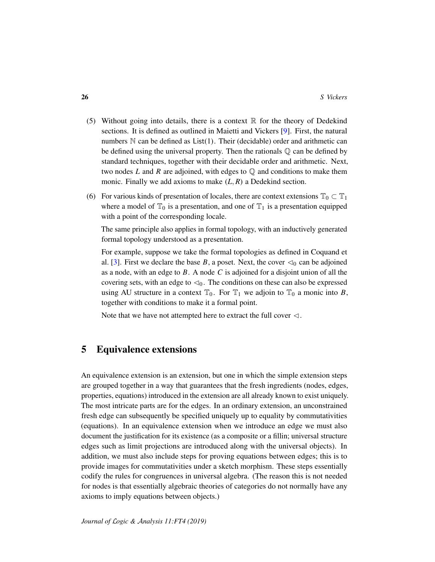- (5) Without going into details, there is a context  $\mathbb R$  for the theory of Dedekind sections. It is defined as outlined in Maietti and Vickers [\[9\]](#page-54-4). First, the natural numbers  $N$  can be defined as  $List(1)$ . Their (decidable) order and arithmetic can be defined using the universal property. Then the rationals  $\mathbb Q$  can be defined by standard techniques, together with their decidable order and arithmetic. Next, two nodes  $L$  and  $R$  are adjoined, with edges to  $\mathbb Q$  and conditions to make them monic. Finally we add axioms to make (*L*, *R*) a Dedekind section.
- (6) For various kinds of presentation of locales, there are context extensions  $\mathbb{T}_0 \subset \mathbb{T}_1$ where a model of  $\mathbb{T}_0$  is a presentation, and one of  $\mathbb{T}_1$  is a presentation equipped with a point of the corresponding locale.

The same principle also applies in formal topology, with an inductively generated formal topology understood as a presentation.

For example, suppose we take the formal topologies as defined in Coquand et al. [\[3\]](#page-54-8). First we declare the base *B*, a poset. Next, the cover  $\triangleleft_0$  can be adjoined as a node, with an edge to *B*. A node *C* is adjoined for a disjoint union of all the covering sets, with an edge to  $\triangleleft_0$ . The conditions on these can also be expressed using AU structure in a context  $\mathbb{T}_0$ . For  $\mathbb{T}_1$  we adjoin to  $\mathbb{T}_0$  a monic into *B*, together with conditions to make it a formal point.

Note that we have not attempted here to extract the full cover  $\triangleleft$ .

# <span id="page-25-0"></span>5 Equivalence extensions

An equivalence extension is an extension, but one in which the simple extension steps are grouped together in a way that guarantees that the fresh ingredients (nodes, edges, properties, equations) introduced in the extension are all already known to exist uniquely. The most intricate parts are for the edges. In an ordinary extension, an unconstrained fresh edge can subsequently be specified uniquely up to equality by commutativities (equations). In an equivalence extension when we introduce an edge we must also document the justification for its existence (as a composite or a fillin; universal structure edges such as limit projections are introduced along with the universal objects). In addition, we must also include steps for proving equations between edges; this is to provide images for commutativities under a sketch morphism. These steps essentially codify the rules for congruences in universal algebra. (The reason this is not needed for nodes is that essentially algebraic theories of categories do not normally have any axioms to imply equations between objects.)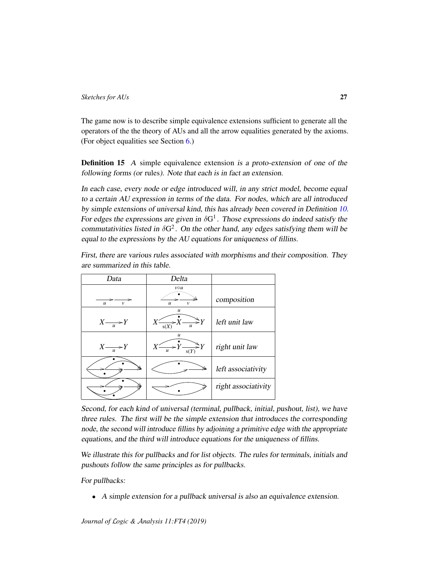The game now is to describe simple equivalence extensions sufficient to generate all the operators of the the theory of AUs and all the arrow equalities generated by the axioms. (For object equalities see Section [6.](#page-31-0))

Definition 15 A simple equivalence extension is a proto-extension of one of the following forms (or rules). Note that each is in fact an extension.

In each case, every node or edge introduced will, in any strict model, become equal to a certain AU expression in terms of the data. For nodes, which are all introduced by simple extensions of universal kind, this has already been covered in Definition [10.](#page-19-0) For edges the expressions are given in  $\delta G^1$ . Those expressions do indeed satisfy the commutativities listed in  $\delta G^2$ . On the other hand, any edges satisfying them will be equal to the expressions by the AU equations for uniqueness of fillins.

| First, there are various rules associated with morphisms and their composition. They |                               |  |  |  |  |  |
|--------------------------------------------------------------------------------------|-------------------------------|--|--|--|--|--|
|                                                                                      | are summarized in this table. |  |  |  |  |  |
|                                                                                      |                               |  |  |  |  |  |

| Delta<br>Data                    |                                                             |                     |
|----------------------------------|-------------------------------------------------------------|---------------------|
| $\boldsymbol{u}$<br>$\mathcal V$ | $v \circ u$<br>$\boldsymbol{u}$<br>$\mathcal{V}$            | composition         |
| $X \rightarrow Y$                | $\mathcal{U}$<br>$\widehat{\gt} Y$<br>s(X)<br>$\mathcal{U}$ | left unit law       |
| $X \rightarrow Y$                | $\mathcal{U}$<br>$\gt Y$<br>$\mathcal{U}$<br>s(Y)           | right unit law      |
| ≝                                | ⇘                                                           | left associativity  |
|                                  |                                                             | right associativity |

Second, for each kind of universal (terminal, pullback, initial, pushout, list), we have three rules. The first will be the simple extension that introduces the corresponding node, the second will introduce fillins by adjoining a primitive edge with the appropriate equations, and the third will introduce equations for the uniqueness of fillins.

We illustrate this for pullbacks and for list objects. The rules for terminals, initials and pushouts follow the same principles as for pullbacks.

For pullbacks:

• A simple extension for a pullback universal is also an equivalence extension.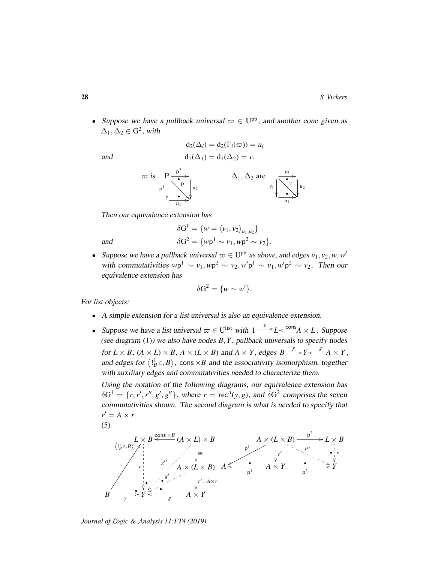• Suppose we have a pullback universal  $\varpi \in U^{pb}$ , and another cone given as  $\Delta_1, \Delta_2 \in \mathbb{G}^2$ , with

$$
\mathbf{m}d
$$

and  
\n
$$
d_2(\Delta_i) = d_2(\Gamma_i(\varpi)) = u_i
$$
\n
$$
d_1(\Delta_1) = d_1(\Delta_2) = v.
$$



Then our equivalence extension has

$$
\delta G^1 = \{ w = \langle v_1, v_2 \rangle_{u_1, u_2} \}
$$
  
and  

$$
\delta G^2 = \{ w p^1 \sim v_1, w p^2 \sim v_2 \}.
$$

• Suppose we have a pullback universal  $\varpi \in U^{pb}$  as above, and edges  $v_1, v_2, w, w'$ with commutativities  $wp^1 \sim v_1, wp^2 \sim v_2, w'p^1 \sim v_1, w'p^2 \sim v_2$ . Then our equivalence extension has

$$
\delta G^2 = \{ w \sim w' \}.
$$

For list objects:

- A simple extension for a list universal is also an equivalence extension.
- Suppose we have a list universal  $\varpi \in U^{\text{list}}$  with  $1 \xrightarrow{\varepsilon} L \xleftarrow{\text{cons}} A \times L$ . Suppose (see diagram [\(1\)](#page-5-0)) we also have nodes *B*, *Y* , pullback universals to specify nodes for  $L \times B$ ,  $(A \times L) \times B$ ,  $A \times (L \times B)$  and  $A \times Y$ , edges  $B \longrightarrow^{y} Y \longleftarrow^{g} A \times Y$ , and edges for  $\langle \cdot \cdot \cdot \rangle$ , cons  $\times B$  and the associativity isomorphism, together with auxiliary edges and commutativities needed to characterize them.

Using the notation of the following diagrams, our equivalence extension has  $\delta G^1 = \{r, r', r'', g', g''\},$  where  $r = \text{rec}^A(y, g)$ , and  $\delta G^2$  comprises the seven commutativities shown. The second diagram is what is needed to specify that  $r' = A \times r$ .

$$
(5)
$$

$$
\left\langle A \times (L \times B) \right\rangle_{\text{P}}^{\text{Cons} \times \text{B}} \xrightarrow{\text{Cons} \times \text{B}} (A \times L) \times B
$$
\n
$$
\left\langle A \times (L \times B) \right\rangle_{\text{P}}^{\text{P}} \xrightarrow{\text{P}} L \times B
$$
\n
$$
\left\langle A \times (L \times B) \right\rangle_{\text{P}}^{\text{P}} \xrightarrow{\text{P}} L \times B
$$
\n
$$
\left\langle A \times (L \times B) \right\rangle_{\text{P}}^{\text{P}} \xrightarrow{\text{P}} \left\langle A \times Y \right\rangle_{\text{P}}^{\text{P}}^{\text{P}} \xrightarrow{\text{P}} Y
$$
\n
$$
\left\langle A \times (L \times B) \right\rangle_{\text{P}}^{\text{P}} \xrightarrow{\text{P}} Y
$$
\n
$$
\left\langle A \times (L \times B) \right\rangle_{\text{P}}^{\text{P}} \xrightarrow{\text{P}} Y
$$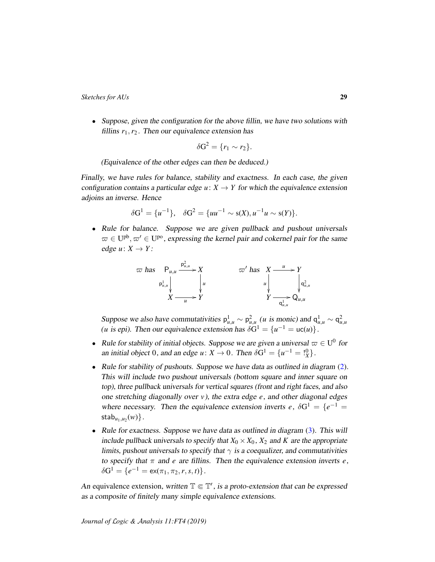• Suppose, given the configuration for the above fillin, we have two solutions with fillins  $r_1, r_2$ . Then our equivalence extension has

$$
\delta G^2 = \{r_1 \sim r_2\}.
$$

(Equivalence of the other edges can then be deduced.)

Finally, we have rules for balance, stability and exactness. In each case, the given configuration contains a particular edge  $u: X \to Y$  for which the equivalence extension adjoins an inverse. Hence

$$
\delta G^1 = \{u^{-1}\}, \quad \delta G^2 = \{uu^{-1} \sim s(X), u^{-1}u \sim s(Y)\}.
$$

• Rule for balance. Suppose we are given pullback and pushout universals  $\varpi \in U^{pb}, \varpi' \in U^{po}$ , expressing the kernel pair and cokernel pair for the same edge  $u: X \rightarrow Y$ :

$$
\varpi \text{ has } \mathsf{P}_{u,u} \xrightarrow{\mathsf{P}_{u,u}^1} X \qquad \qquad \varpi' \text{ has } X \xrightarrow{u} Y
$$
\n
$$
\mathsf{P}_{u,u}^1 \downarrow \qquad \qquad \downarrow u \qquad \qquad \downarrow u \qquad \qquad \downarrow u
$$
\n
$$
X \xrightarrow{u} Y
$$
\n
$$
\mathsf{P}_{u,u}^1 \xrightarrow{u} Y
$$

Suppose we also have commutativities  $p_{u,u}^1 \sim p_{u,u}^2$  (*u* is monic) and  $q_{u,u}^1 \sim q_{u,u}^2$ (*u* is epi). Then our equivalence extension has  $\delta G^1 = \{u^{-1} = uc(u)\}.$ 

- Rule for stability of initial objects. Suppose we are given a universal  $\varpi \in U^0$  for an initial object 0, and an edge  $u: X \to 0$ . Then  $\delta G^1 = \{u^{-1} = \binom{0}{X}\}.$
- Rule for stability of pushouts. Suppose we have data as outlined in diagram [\(2\)](#page-10-0). This will include two pushout universals (bottom square and inner square on top), three pullback universals for vertical squares (front and right faces, and also one stretching diagonally over *v*), the extra edge *e*, and other diagonal edges where necessary. Then the equivalence extension inverts *e*,  $\delta G^1 = \{e^{-1} =$  $\mathsf{stab}_{u_1, u_2}(w)\}.$
- Rule for exactness. Suppose we have data as outlined in diagram [\(3\)](#page-10-1). This will include pullback universals to specify that  $X_0 \times X_0$ ,  $X_2$  and *K* are the appropriate limits, pushout universals to specify that  $\gamma$  is a coequalizer, and commutativities to specify that  $\pi$  and *e* are fillins. Then the equivalence extension inverts *e*,  $\delta G^1 = \{e^{-1} = \textsf{ex}(\pi_1, \pi_2, r, s, t)\}.$

An equivalence extension, written  $\mathbb{T} \in \mathbb{T}'$ , is a proto-extension that can be expressed as a composite of finitely many simple equivalence extensions.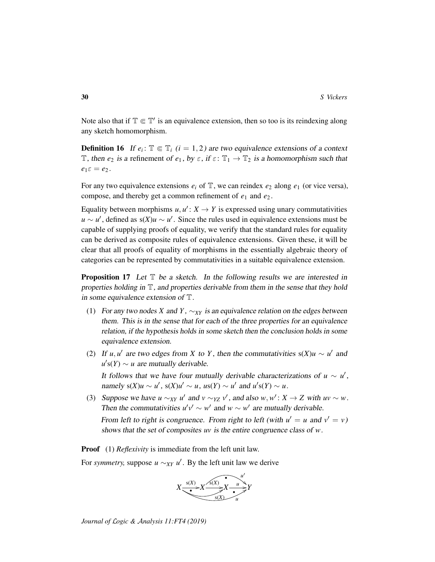Note also that if  $\mathbb{T} \in \mathbb{T}'$  is an equivalence extension, then so too is its reindexing along any sketch homomorphism.

<span id="page-29-1"></span>**Definition 16** If  $e_i$ :  $\mathbb{T} \in \mathbb{T}_i$  ( $i = 1, 2$ ) are two equivalence extensions of a context T, then  $e_2$  is a refinement of  $e_1$ , by  $\varepsilon$ , if  $\varepsilon$ :  $\mathbb{T}_1 \to \mathbb{T}_2$  is a homomorphism such that  $e_1 \varepsilon = e_2$ .

For any two equivalence extensions  $e_i$  of  $\mathbb{T}$ , we can reindex  $e_2$  along  $e_1$  (or vice versa), compose, and thereby get a common refinement of *e*<sup>1</sup> and *e*<sup>2</sup> .

Equality between morphisms  $u, u' : X \to Y$  is expressed using unary commutativities  $u \sim u'$ , defined as s(*X*) $u \sim u'$ . Since the rules used in equivalence extensions must be capable of supplying proofs of equality, we verify that the standard rules for equality can be derived as composite rules of equivalence extensions. Given these, it will be clear that all proofs of equality of morphisms in the essentially algebraic theory of categories can be represented by commutativities in a suitable equivalence extension.

<span id="page-29-0"></span>**Proposition 17** Let  $\mathbb T$  be a sketch. In the following results we are interested in properties holding in T, and properties derivable from them in the sense that they hold in some equivalence extension of T.

- (1) For any two nodes *X* and *Y*,  $\sim_{XY}$  is an equivalence relation on the edges between them. This is in the sense that for each of the three properties for an equivalence relation, if the hypothesis holds in some sketch then the conclusion holds in some equivalence extension.
- (2) If *u*, *u'* are two edges from *X* to *Y*, then the commutativities  $s(X)u \sim u'$  and  $u$ <sup>*'*</sup>s(*Y*)  $\sim$  *u* are mutually derivable.

It follows that we have four mutually derivable characterizations of  $u \sim u'$ , namely  $s(X)u \sim u'$ ,  $s(X)u' \sim u$ ,  $us(Y) \sim u'$  and  $u's(Y) \sim u$ .

(3) Suppose we have  $u \sim_{XY} u'$  and  $v \sim_{YZ} v'$ , and also  $w, w' : X \to Z$  with  $uv \sim w$ . Then the commutativities  $u'v' \sim w'$  and  $w \sim w'$  are mutually derivable.

From left to right is congruence. From right to left (with  $u' = u$  and  $v' = v$ ) shows that the set of composites *uv* is the entire congruence class of *w*.

**Proof** (1) *Reflexivity* is immediate from the left unit law.

For *symmetry*, suppose  $u \sim_{XY} u'$ . By the left unit law we derive

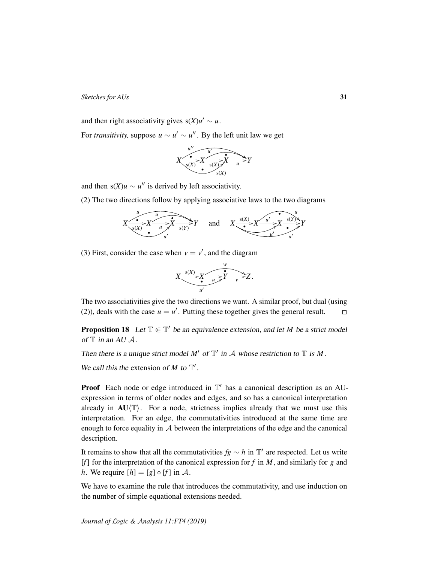and then right associativity gives  $s(X)u' \sim u$ .

For *transitivity*, suppose  $u \sim u' \sim u''$ . By the left unit law we get



and then  $s(X)u \sim u''$  is derived by left associativity.

(2) The two directions follow by applying associative laws to the two diagrams



(3) First, consider the case when  $v = v'$ , and the diagram



The two associativities give the two directions we want. A similar proof, but dual (using (2)), deals with the case  $u = u'$ . Putting these together gives the general result.  $\Box$ 

<span id="page-30-0"></span>**Proposition 18** Let  $\mathbb{T} \in \mathbb{T}'$  be an equivalence extension, and let *M* be a strict model of  $\mathbb T$  in an AU  $\mathcal A$ .

Then there is a unique strict model  $M'$  of  $\mathbb{T}'$  in A whose restriction to  $\mathbb T$  is M.

We call this the extension of  $M$  to  $T'$ .

**Proof** Each node or edge introduced in  $T'$  has a canonical description as an AUexpression in terms of older nodes and edges, and so has a canonical interpretation already in  $AU/\mathbb{T}$ . For a node, strictness implies already that we must use this interpretation. For an edge, the commutativities introduced at the same time are enough to force equality in  $A$  between the interpretations of the edge and the canonical description.

It remains to show that all the commutativities  $fg \sim h$  in  $\mathbb{T}'$  are respected. Let us write [*f*] for the interpretation of the canonical expression for *f* in *M*, and similarly for *g* and *h*. We require  $[h] = [g] \circ [f]$  in A.

We have to examine the rule that introduces the commutativity, and use induction on the number of simple equational extensions needed.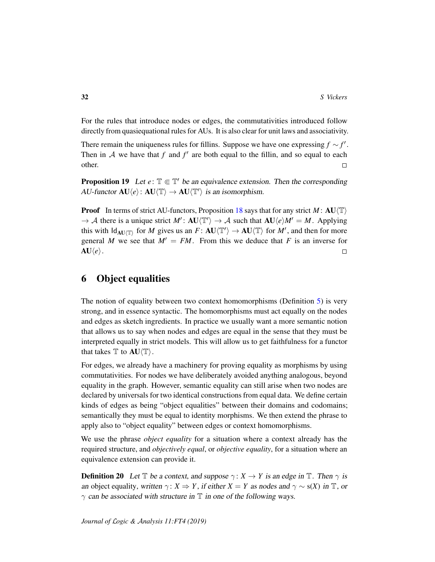For the rules that introduce nodes or edges, the commutativities introduced follow directly from quasiequational rules for AUs. It is also clear for unit laws and associativity.

There remain the uniqueness rules for fillins. Suppose we have one expressing  $f \sim f'$ . Then in  $A$  we have that  $f$  and  $f'$  are both equal to the fillin, and so equal to each other.  $\Box$ 

<span id="page-31-1"></span>**Proposition 19** Let  $e: \mathbb{T} \in \mathbb{T}'$  be an equivalence extension. Then the corresponding  $AU\text{-}functor \ \mathbf{A}U\langle e \rangle: \mathbf{A}U\langle \mathbb{T} \rangle \to \mathbf{A}U\langle \mathbb{T}' \rangle \ \text{ is an isomorphism.}$ 

**Proof** In terms of strict AU-functors, Proposition [18](#page-30-0) says that for any strict *M* :  $AU(T)$  $\rightarrow$  A there is a unique strict *M'*: **AU** $\langle T' \rangle \rightarrow$  A such that **AU** $\langle e \rangle M' = M$ . Applying this with  $\mathsf{Id}_{\mathbf{A}\mathbf{U}\langle\mathbb{T}\rangle}$  for *M* gives us an  $F: \mathbf{A}\mathbf{U}\langle\mathbb{T}'\rangle \to \mathbf{A}\mathbf{U}\langle\mathbb{T}\rangle$  for *M'*, and then for more general *M* we see that  $M' = FM$ . From this we deduce that *F* is an inverse for  $AU\langle e\rangle$ .  $\Box$ 

# <span id="page-31-0"></span>6 Object equalities

The notion of equality between two context homomorphisms (Definition [5\)](#page-12-1) is very strong, and in essence syntactic. The homomorphisms must act equally on the nodes and edges as sketch ingredients. In practice we usually want a more semantic notion that allows us to say when nodes and edges are equal in the sense that they must be interpreted equally in strict models. This will allow us to get faithfulness for a functor that takes  $\mathbb T$  to  $AU \langle \mathbb T \rangle$ .

For edges, we already have a machinery for proving equality as morphisms by using commutativities. For nodes we have deliberately avoided anything analogous, beyond equality in the graph. However, semantic equality can still arise when two nodes are declared by universals for two identical constructions from equal data. We define certain kinds of edges as being "object equalities" between their domains and codomains; semantically they must be equal to identity morphisms. We then extend the phrase to apply also to "object equality" between edges or context homomorphisms.

We use the phrase *object equality* for a situation where a context already has the required structure, and *objectively equal*, or *objective equality*, for a situation where an equivalence extension can provide it.

**Definition 20** Let  $\mathbb{T}$  be a context, and suppose  $\gamma: X \to Y$  is an edge in  $\mathbb{T}$ . Then  $\gamma$  is an object equality, written  $\gamma$ :  $X \Rightarrow Y$ , if either  $X = Y$  as nodes and  $\gamma \sim s(X)$  in  $\mathbb{T}$ , or  $\gamma$  can be associated with structure in  $\mathbb T$  in one of the following ways.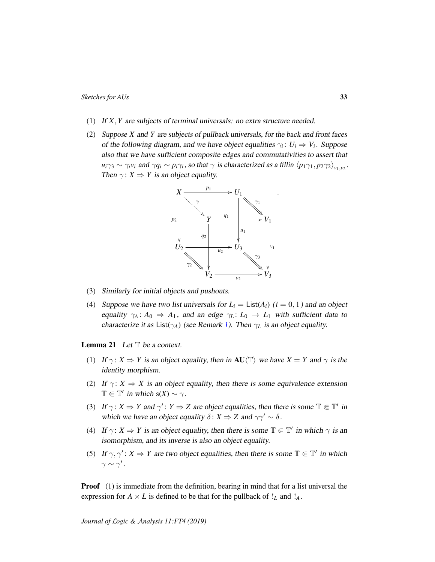- (1) If *X*, *Y* are subjects of terminal universals: no extra structure needed.
- (2) Suppose *X* and *Y* are subjects of pullback universals, for the back and front faces of the following diagram, and we have object equalities  $\gamma_i: U_i \Rightarrow V_i$ . Suppose also that we have sufficient composite edges and commutativities to assert that  $u_i \gamma_3 \sim \gamma_i v_i$  and  $\gamma q_i \sim p_i \gamma_i$ , so that  $\gamma$  is characterized as a fillin  $\langle p_1 \gamma_1, p_2 \gamma_2 \rangle_{v_1, v_2}$ . Then  $\gamma$ :  $X \Rightarrow Y$  is an object equality.



(3) Similarly for initial objects and pushouts.

(4) Suppose we have two list universals for  $L<sub>i</sub> = \text{List}(A<sub>i</sub>)$  ( $i = 0, 1$ ) and an object equality  $\gamma_A : A_0 \Rightarrow A_1$ , and an edge  $\gamma_L : L_0 \to L_1$  with sufficient data to characterize it as List( $\gamma_A$ ) (see Remark [1\)](#page-5-1). Then  $\gamma_L$  is an object equality.

<span id="page-32-0"></span>**Lemma 21** Let  $T$  be a context.

- (1) If  $\gamma: X \Rightarrow Y$  is an object equality, then in **AU** $\langle T \rangle$  we have  $X = Y$  and  $\gamma$  is the identity morphism.
- (2) If  $\gamma: X \Rightarrow X$  is an object equality, then there is some equivalence extension  $\mathbb{T} \in \mathbb{T}'$  in which s(*X*) ~  $\gamma$ .
- (3) If  $\gamma: X \Rightarrow Y$  and  $\gamma': Y \Rightarrow Z$  are object equalities, then there is some  $\mathbb{T} \in \mathbb{T}'$  in which we have an object equality  $\delta: X \Rightarrow Z$  and  $\gamma \gamma' \sim \delta$ .
- (4) If  $\gamma: X \Rightarrow Y$  is an object equality, then there is some  $\mathbb{T} \in \mathbb{T}'$  in which  $\gamma$  is an isomorphism, and its inverse is also an object equality.
- (5) If  $\gamma, \gamma' : X \Rightarrow Y$  are two object equalities, then there is some  $\mathbb{T} \in \mathbb{T}'$  in which  $\gamma \sim \gamma'$ .

**Proof** (1) is immediate from the definition, bearing in mind that for a list universal the expression for  $A \times L$  is defined to be that for the pullback of  $!_L$  and  $!_A$ .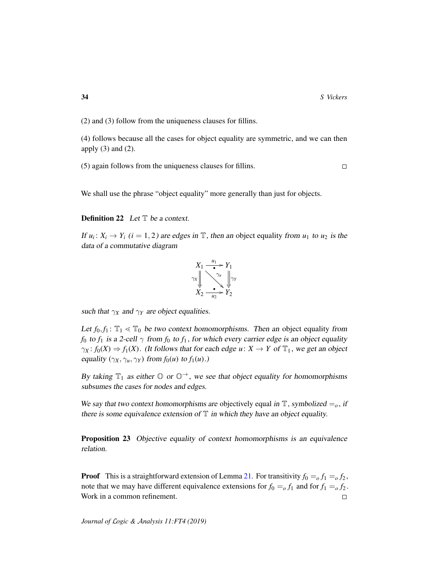$\Box$ 

(2) and (3) follow from the uniqueness clauses for fillins.

(4) follows because all the cases for object equality are symmetric, and we can then apply  $(3)$  and  $(2)$ .

(5) again follows from the uniqueness clauses for fillins.

We shall use the phrase "object equality" more generally than just for objects.

**Definition 22** Let  $\mathbb{T}$  be a context.

If  $u_i: X_i \to Y_i$  ( $i = 1, 2$ ) are edges in  $\mathbb{T}$ , then an object equality from  $u_1$  to  $u_2$  is the data of a commutative diagram

$$
X_1 \xrightarrow{\begin{array}{c} u_1 \\ \hline \bullet \\ \hline \\ \hline \\ X_2 \xrightarrow{\begin{array}{c} \hline \\ \hline \\ u_2 \end{array}} Y_1 \\ \hline \\ X_2 \xrightarrow{\begin{array}{c} \hline \\ \hline \\ u_2 \end{array}} Y_2
$$

such that  $\gamma_X$  and  $\gamma_Y$  are object equalities.

Let  $f_0, f_1: \mathbb{T}_1 \leq \mathbb{T}_0$  be two context homomorphisms. Then an object equality from *f*<sub>0</sub> to *f*<sub>1</sub> is a 2-cell  $\gamma$  from *f*<sub>0</sub> to *f*<sub>1</sub>, for which every carrier edge is an object equality  $\gamma_X : f_0(X) \Rightarrow f_1(X)$ . (It follows that for each edge  $u: X \to Y$  of  $\mathbb{T}_1$ , we get an object equality  $(\gamma_X, \gamma_u, \gamma_Y)$  from  $f_0(u)$  to  $f_1(u)$ .)

By taking  $\mathbb{T}_1$  as either  $\mathbb{O}$  or  $\mathbb{O}^{\rightarrow}$ , we see that object equality for homomorphisms subsumes the cases for nodes and edges.

We say that two context homomorphisms are objectively equal in  $\mathbb{T}$ , symbolized  $=_o$ , if there is some equivalence extension of  $\mathbb T$  in which they have an object equality.

<span id="page-33-0"></span>Proposition 23 Objective equality of context homomorphisms is an equivalence relation.

**Proof** This is a straightforward extension of Lemma [21.](#page-32-0) For transitivity  $f_0 = f_1 = 0$ ,  $f_2$ , note that we may have different equivalence extensions for  $f_0 =_o f_1$  and for  $f_1 =_o f_2$ . Work in a common refinement.  $\Box$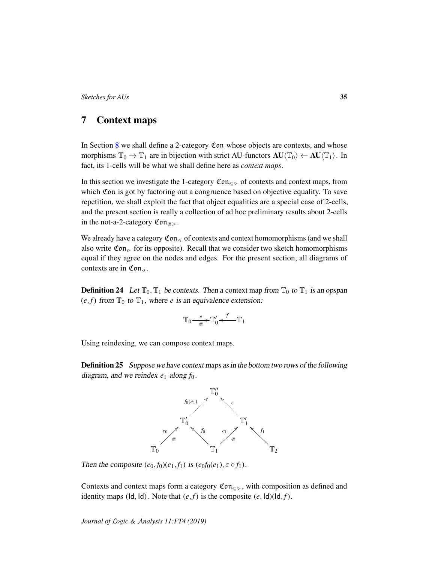# <span id="page-34-0"></span>7 Context maps

In Section [8](#page-40-0) we shall define a 2-category Con whose objects are contexts, and whose morphisms  $\mathbb{T}_0 \to \mathbb{T}_1$  are in bijection with strict AU-functors  $AU(\mathbb{T}_0) \leftarrow AU(\mathbb{T}_1)$ . In fact, its 1-cells will be what we shall define here as *context maps*.

In this section we investigate the 1-category  $\mathfrak{Con}_{\mathfrak{S}}$  of contexts and context maps, from which Con is got by factoring out a congruence based on objective equality. To save repetition, we shall exploit the fact that object equalities are a special case of 2-cells, and the present section is really a collection of ad hoc preliminary results about 2-cells in the not-a-2-category  $\mathfrak{Con}_{\mathfrak{S}}$ .

We already have a category  $\mathfrak{Con}_{\leq}$  of contexts and context homomorphisms (and we shall also write  $\mathfrak{Con}_{\geq}$  for its opposite). Recall that we consider two sketch homomorphisms equal if they agree on the nodes and edges. For the present section, all diagrams of contexts are in  $\mathfrak{Con}_{\leq}$ .

**Definition 24** Let  $\mathbb{T}_0$ ,  $\mathbb{T}_1$  be contexts. Then a context map from  $\mathbb{T}_0$  to  $\mathbb{T}_1$  is an opspan  $(e, f)$  from  $\mathbb{T}_0$  to  $\mathbb{T}_1$ , where *e* is an equivalence extension:

$$
\mathbb{T}_0\smash{\mathop{\longrightarrow}\limits^e_{\textstyle\subset\hspace{-1.4em}\in\hspace{-1.4em}}}\mathbb{T}'_0\smash{\stackrel{f}{\longleftarrow}}\mathbb{T}_1
$$

Using reindexing, we can compose context maps.

**Definition 25** Suppose we have context maps as in the bottom two rows of the following diagram, and we reindex  $e_1$  along  $f_0$ .



Then the composite  $(e_0, f_0)(e_1, f_1)$  is  $(e_0f_0(e_1), \varepsilon \circ f_1)$ .

Contexts and context maps form a category  $\mathfrak{Con}_{\mathfrak{S}}$ , with composition as defined and identity maps (Id, Id). Note that  $(e, f)$  is the composite  $(e, Id)(Id, f)$ .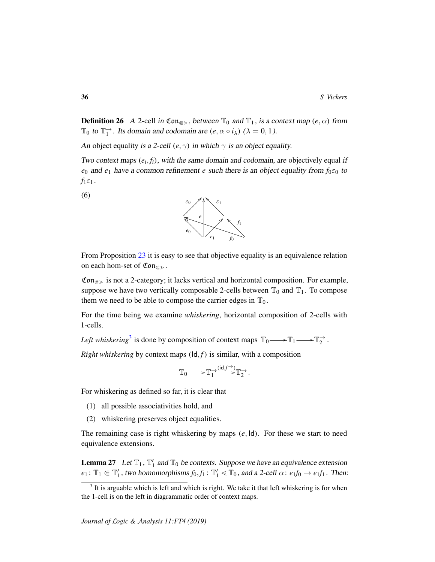**Definition 26** A 2-cell in Con<sub> $\epsilon$ </sub>, between  $\mathbb{T}_0$  and  $\mathbb{T}_1$ , is a context map  $(e, \alpha)$  from  $\mathbb{T}_0$  to  $\mathbb{T}_1^{\to}$ . Its domain and codomain are  $(e, \alpha \circ i_\lambda)$   $(\lambda = 0, 1)$ .

An object equality is a 2-cell  $(e, \gamma)$  in which  $\gamma$  is an object equality.

Two context maps  $(e_i, f_i)$ , with the same domain and codomain, are objectively equal if *e*<sub>0</sub> and *e*<sub>1</sub> have a common refinement *e* such there is an object equality from  $f_0 \varepsilon_0$  to  $f_1 \varepsilon_1$ .

(6)

<span id="page-35-2"></span>

From Proposition [23](#page-33-0) it is easy to see that objective equality is an equivalence relation on each hom-set of  $\mathfrak{Con}_{\mathfrak{S}}$ .

 $\mathfrak{Con}_{\epsilon}$  is not a 2-category; it lacks vertical and horizontal composition. For example, suppose we have two vertically composable 2-cells between  $\mathbb{T}_0$  and  $\mathbb{T}_1$ . To compose them we need to be able to compose the carrier edges in  $\mathbb{T}_0$ .

For the time being we examine *whiskering*, horizontal composition of 2-cells with 1-cells.

*Left whiskering*<sup>[3](#page-35-0)</sup> is done by composition of context maps  $\mathbb{T}_0 \longrightarrow \mathbb{T}_1 \longrightarrow \mathbb{T}_2^{\rightarrow}$ .

*Right whiskering* by context maps  $(\text{Id}, f)$  is similar, with a composition

$$
\mathbb{T}_0{\longrightarrow\!\!\!\!\!\!\longrightarrow} \mathbb{T}_1^{\rightarrow}\!\!\!\!\!\overset{(\mathrm{id},f^{\rightarrow})}{\longrightarrow}\!\!\!\!\!\!\mathbb{T}_2^{\rightarrow}.
$$

For whiskering as defined so far, it is clear that

- (1) all possible associativities hold, and
- (2) whiskering preserves object equalities.

The remaining case is right whiskering by maps (*e*, Id). For these we start to need equivalence extensions.

<span id="page-35-1"></span>**Lemma 27** Let  $\mathbb{T}_1$ ,  $\mathbb{T}'_1$  and  $\mathbb{T}_0$  be contexts. Suppose we have an equivalence extension  $e_1$ :  $\mathbb{T}_1 \Subset \mathbb{T}'_1$ , two homomorphisms  $f_0, f_1$ :  $\mathbb{T}'_1 \lessdot \mathbb{T}_0$ , and a 2-cell  $\alpha$ :  $e_1f_0 \rightarrow e_1f_1$ . Then:

<span id="page-35-0"></span> $3$  It is arguable which is left and which is right. We take it that left whiskering is for when the 1-cell is on the left in diagrammatic order of context maps.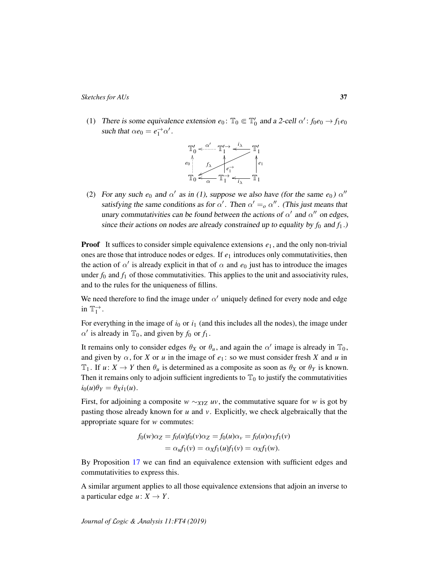(1) There is some equivalence extension  $e_0$ :  $\mathbb{T}_0 \in \mathbb{T}'_0$  and a 2-cell  $\alpha'$ :  $f_0e_0 \rightarrow f_1e_0$ such that  $\alpha e_0 = e_1^{\rightarrow} \alpha'$ .



(2) For any such  $e_0$  and  $\alpha'$  as in (1), suppose we also have (for the same  $e_0$ )  $\alpha''$ satisfying the same conditions as for  $\alpha'$ . Then  $\alpha' =_o \alpha''$ . (This just means that unary commutativities can be found between the actions of  $\alpha'$  and  $\alpha''$  on edges, since their actions on nodes are already constrained up to equality by  $f_0$  and  $f_1$ .)

**Proof** It suffices to consider simple equivalence extensions  $e_1$ , and the only non-trivial ones are those that introduce nodes or edges. If *e*<sup>1</sup> introduces only commutativities, then the action of  $\alpha'$  is already explicit in that of  $\alpha$  and  $e_0$  just has to introduce the images under  $f_0$  and  $f_1$  of those commutativities. This applies to the unit and associativity rules, and to the rules for the uniqueness of fillins.

We need therefore to find the image under  $\alpha'$  uniquely defined for every node and edge in  $\mathbb{T}_1^{\rightarrow}$ .

For everything in the image of  $i_0$  or  $i_1$  (and this includes all the nodes), the image under  $\alpha'$  is already in  $\mathbb{T}_0$ , and given by  $f_0$  or  $f_1$ .

It remains only to consider edges  $\theta_X$  or  $\theta_u$ , and again the  $\alpha'$  image is already in  $\mathbb{T}_0$ , and given by  $\alpha$ , for *X* or *u* in the image of  $e_1$ : so we must consider fresh *X* and *u* in  $\mathbb{T}_1$ . If  $u: X \to Y$  then  $\theta_u$  is determined as a composite as soon as  $\theta_X$  or  $\theta_Y$  is known. Then it remains only to adjoin sufficient ingredients to  $\mathbb{T}_0$  to justify the commutativities  $i_0(u)\theta_Y = \theta_X i_1(u)$ .

First, for adjoining a composite *w* ∼*XYZ uv*, the commutative square for *w* is got by pasting those already known for *u* and *v*. Explicitly, we check algebraically that the appropriate square for *w* commutes:

$$
f_0(w)\alpha_Z = f_0(u)f_0(v)\alpha_Z = f_0(u)\alpha_v = f_0(u)\alpha_Y f_1(v)
$$
  
=  $\alpha_u f_1(v) = \alpha_X f_1(u)f_1(v) = \alpha_X f_1(w).$ 

By Proposition [17](#page-29-0) we can find an equivalence extension with sufficient edges and commutativities to express this.

A similar argument applies to all those equivalence extensions that adjoin an inverse to a particular edge  $u: X \to Y$ .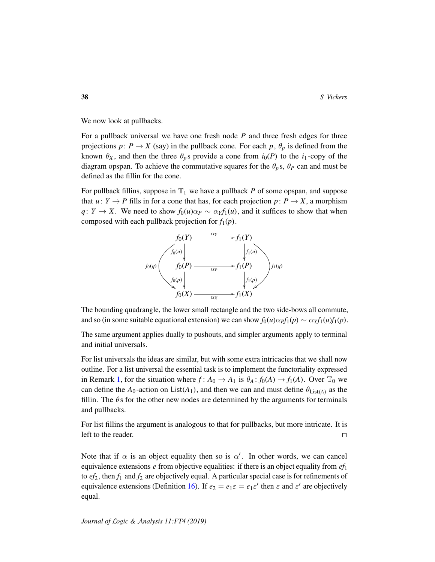We now look at pullbacks.

For a pullback universal we have one fresh node *P* and three fresh edges for three projections  $p: P \to X$  (say) in the pullback cone. For each  $p, \theta_p$  is defined from the known  $\theta_X$ , and then the three  $\theta_p$ s provide a cone from  $i_0(P)$  to the  $i_1$ -copy of the diagram opspan. To achieve the commutative squares for the  $\theta_p$ s,  $\theta_p$  can and must be defined as the fillin for the cone.

For pullback fillins, suppose in  $\mathbb{T}_1$  we have a pullback *P* of some opspan, and suppose that  $u: Y \to P$  fills in for a cone that has, for each projection  $p: P \to X$ , a morphism *q*: *Y* → *X*. We need to show  $f_0(u)\alpha_P \sim \alpha_Y f_1(u)$ , and it suffices to show that when composed with each pullback projection for  $f_1(p)$ .



The bounding quadrangle, the lower small rectangle and the two side-bows all commute, and so (in some suitable equational extension) we can show  $f_0(u)\alpha p f_1(p) \sim \alpha y f_1(u)f_1(p)$ .

The same argument applies dually to pushouts, and simpler arguments apply to terminal and initial universals.

For list universals the ideas are similar, but with some extra intricacies that we shall now outline. For a list universal the essential task is to implement the functoriality expressed in Remark [1,](#page-5-1) for the situation where  $f: A_0 \to A_1$  is  $\theta_A: f_0(A) \to f_1(A)$ . Over  $\mathbb{T}_0$  we can define the  $A_0$ -action on List( $A_1$ ), and then we can and must define  $\theta_{List(A)}$  as the fillin. The  $\theta$ s for the other new nodes are determined by the arguments for terminals and pullbacks.

For list fillins the argument is analogous to that for pullbacks, but more intricate. It is left to the reader.  $\Box$ 

Note that if  $\alpha$  is an object equality then so is  $\alpha'$ . In other words, we can cancel equivalence extensions *e* from objective equalities: if there is an object equality from *ef*<sup>1</sup> to  $ef_2$ , then  $f_1$  and  $f_2$  are objectively equal. A particular special case is for refinements of equivalence extensions (Definition [16\)](#page-29-1). If  $e_2 = e_1 \varepsilon = e_1 \varepsilon'$  then  $\varepsilon$  and  $\varepsilon'$  are objectively equal.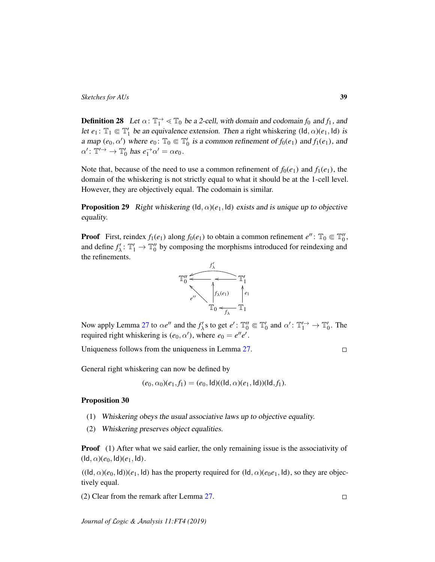<span id="page-38-0"></span>**Definition 28** Let  $\alpha$ :  $\mathbb{T}_1^{\rightarrow} \ll \mathbb{T}_0$  be a 2-cell, with domain and codomain  $f_0$  and  $f_1$ , and let  $e_1$ :  $\mathbb{T}_1 \Subset \mathbb{T}'_1$  be an equivalence extension. Then a right whiskering  $(\mathsf{Id}, \alpha)(e_1, \mathsf{Id})$  is a map  $(e_0, \alpha')$  where  $e_0$ :  $\mathbb{T}_0 \in \mathbb{T}'_0$  is a common refinement of  $f_0(e_1)$  and  $f_1(e_1)$ , and  $\alpha'$ :  $\mathbb{T}' \rightarrow \mathbb{T}'_0$  has  $e_1^{\rightarrow} \alpha' = \alpha e_0$ .

Note that, because of the need to use a common refinement of  $f_0(e_1)$  and  $f_1(e_1)$ , the domain of the whiskering is not strictly equal to what it should be at the 1-cell level. However, they are objectively equal. The codomain is similar.

**Proposition 29** Right whiskering  $(\mathsf{Id}, \alpha)(e_1, \mathsf{Id})$  exists and is unique up to objective equality.

**Proof** First, reindex  $f_1(e_1)$  along  $f_0(e_1)$  to obtain a common refinement  $e''$ :  $\mathbb{T}_0 \in \mathbb{T}_0''$ , and define  $f'_{\lambda}$ :  $\mathbb{T}'_1 \to \mathbb{T}''_0$  by composing the morphisms introduced for reindexing and the refinements.



Now apply Lemma [27](#page-35-1) to  $\alpha e''$  and the  $f'_{\lambda}$ s to get  $e'$ :  $\mathbb{T}'_0 \Subset \mathbb{T}'_0$  and  $\alpha'$ :  $\mathbb{T}'_1 \to \mathbb{T}'_0$ . The required right whiskering is  $(e_0, \alpha')$ , where  $e_0 = e''e'$ .

Uniqueness follows from the uniqueness in Lemma [27.](#page-35-1)

 $\Box$ 

 $\Box$ 

General right whiskering can now be defined by

$$
(e_0, \alpha_0)(e_1, f_1) = (e_0, \text{Id})((\text{Id}, \alpha)(e_1, \text{Id}))(\text{Id}, f_1).
$$

#### Proposition 30

- (1) Whiskering obeys the usual associative laws up to objective equality.
- (2) Whiskering preserves object equalities.

**Proof** (1) After what we said earlier, the only remaining issue is the associativity of  $(\mathsf{Id}, \alpha)(e_0, \mathsf{Id})(e_1, \mathsf{Id}).$ 

 $((\mathsf{Id}, \alpha)(e_0, \mathsf{Id}))$  $(e_1, \mathsf{Id})$  has the property required for  $(\mathsf{Id}, \alpha)(e_0e_1, \mathsf{Id})$ , so they are objectively equal.

(2) Clear from the remark after Lemma [27.](#page-35-1)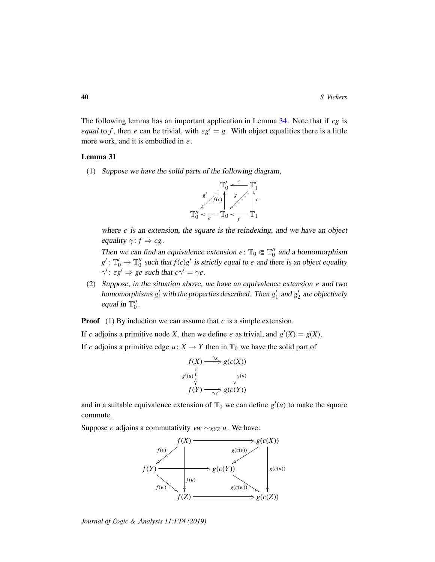The following lemma has an important application in Lemma [34.](#page-41-0) Note that if *cg* is *equal* to *f*, then *e* can be trivial, with  $\epsilon g' = g$ . With object equalities there is a little more work, and it is embodied in *e*.

# <span id="page-39-0"></span>Lemma 31

(1) Suppose we have the solid parts of the following diagram,



where  $c$  is an extension, the square is the reindexing, and we have an object equality  $\gamma$ :  $f \Rightarrow cg$ .

Then we can find an equivalence extension  $e: \mathbb{T}_0 \in \mathbb{T}_0''$  and a homomorphism  $g'$ :  $\mathbb{T}'_0 \to \mathbb{T}''_0$  such that  $f(c)g'$  is strictly equal to *e* and there is an object equality  $\gamma' : \varepsilon g' \Rightarrow \text{ge such that } c\gamma' = \gamma e$ .

(2) Suppose, in the situation above, we have an equivalence extension *e* and two homomorphisms  $g_i'$  with the properties described. Then  $g_1'$  and  $g_2'$  are objectively equal in  $\mathbb{T}_0''$ .

**Proof** (1) By induction we can assume that *c* is a simple extension.

If *c* adjoins a primitive node *X*, then we define *e* as trivial, and  $g'(X) = g(X)$ .

If *c* adjoins a primitive edge  $u: X \to Y$  then in  $\mathbb{T}_0$  we have the solid part of

$$
f(X) \xrightarrow{\gamma_X} g(c(X))
$$
  

$$
g'(u) \downarrow \qquad g(u)
$$
  

$$
f(Y) \xrightarrow{\gamma_Y} g(c(Y))
$$

and in a suitable equivalence extension of  $\mathbb{T}_0$  we can define  $g'(u)$  to make the square commute.

Suppose *c* adjoins a commutativity *vw* ∼*XYZ u*. We have:

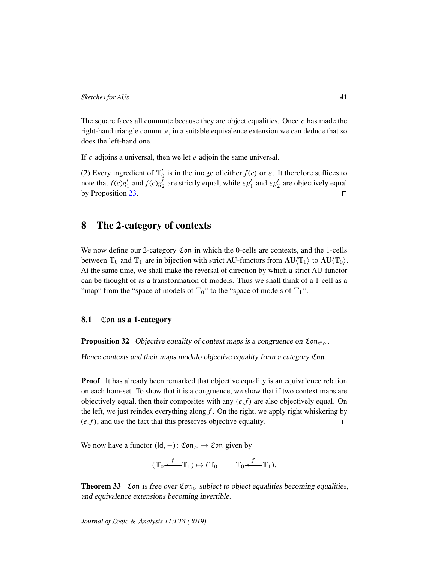The square faces all commute because they are object equalities. Once *c* has made the right-hand triangle commute, in a suitable equivalence extension we can deduce that so does the left-hand one.

If *c* adjoins a universal, then we let *e* adjoin the same universal.

(2) Every ingredient of  $\mathbb{T}'_0$  is in the image of either  $f(c)$  or  $\varepsilon$ . It therefore suffices to note that  $f(c)g'_1$  and  $f(c)g'_2$  are strictly equal, while  $\epsilon g'_1$  and  $\epsilon g'_2$  are objectively equal by Proposition [23.](#page-33-0)  $\Box$ 

# <span id="page-40-0"></span>8 The 2-category of contexts

We now define our 2-category Con in which the 0-cells are contexts, and the 1-cells between  $\mathbb{T}_0$  and  $\mathbb{T}_1$  are in bijection with strict AU-functors from  $AU\langle \mathbb{T}_1\rangle$  to  $AU\langle \mathbb{T}_0\rangle$ . At the same time, we shall make the reversal of direction by which a strict AU-functor can be thought of as a transformation of models. Thus we shall think of a 1-cell as a "map" from the "space of models of  $\mathbb{T}_0$ " to the "space of models of  $\mathbb{T}_1$ ".

# 8.1 Con as a 1-category

**Proposition 32** Objective equality of context maps is a congruence on  $\mathfrak{Con}_{\mathfrak{S}}$ .

Hence contexts and their maps modulo objective equality form a category Con.

**Proof** It has already been remarked that objective equality is an equivalence relation on each hom-set. To show that it is a congruence, we show that if two context maps are objectively equal, then their composites with any  $(e, f)$  are also objectively equal. On the left, we just reindex everything along  $f$ . On the right, we apply right whiskering by  $(e, f)$ , and use the fact that this preserves objective equality.  $\Box$ 

We now have a functor  $(\mathsf{Id}, -)$ : Con $\geq \mathfrak{Con}$  given by

$$
(\mathbb{T}_0 \stackrel{f}{\longleftarrow} \mathbb{T}_1) \mapsto (\mathbb{T}_0 \stackrel{f}{\longleftarrow} \mathbb{T}_0 \stackrel{f}{\longleftarrow} \mathbb{T}_1).
$$

<span id="page-40-1"></span>**Theorem 33** Con is free over Con<sub> $>$ </sub> subject to object equalities becoming equalities, and equivalence extensions becoming invertible.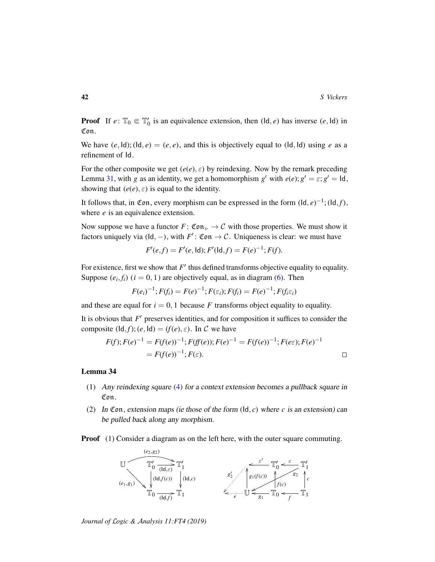**Proof** If  $e: \mathbb{T}_0 \in \mathbb{T}'_0$  is an equivalence extension, then  $(\mathsf{Id}, e)$  has inverse  $(e, \mathsf{Id})$  in Con.

We have  $(e, \text{Id})$ ;  $(\text{Id}, e) = (e, e)$ , and this is objectively equal to  $(\text{Id}, \text{Id})$  using *e* as a refinement of Id.

For the other composite we get  $(e(e), \varepsilon)$  by reindexing. Now by the remark preceding Lemma [31,](#page-39-0) with *g* as an identity, we get a homomorphism *g'* with  $e(e)$ ;  $g' = \varepsilon$ ;  $g' = \text{Id}$ , showing that  $(e(e), \varepsilon)$  is equal to the identity.

It follows that, in Con, every morphism can be expressed in the form  $(\mathsf{Id}, e)^{-1}$ ;  $(\mathsf{Id}, f)$ , where *e* is an equivalence extension.

Now suppose we have a functor  $F: \mathfrak{Con}_{\ge} \to \mathcal{C}$  with those properties. We must show it factors uniquely via  $(\mathsf{Id}, -)$ , with  $F'$ : Con  $\to \mathcal{C}$ . Uniqueness is clear: we must have

$$
F'(e,f) = F'(e, \text{Id}); F'(\text{Id}, f) = F(e)^{-1}; F(f).
$$

For existence, first we show that  $F'$  thus defined transforms objective equality to equality. Suppose  $(e_i, f_i)$   $(i = 0, 1)$  are objectively equal, as in diagram [\(6\)](#page-35-2). Then

$$
F(e_i)^{-1}; F(f_i) = F(e)^{-1}; F(\varepsilon_i); F(f_i) = F(e)^{-1}; F(f_i \varepsilon_i)
$$

and these are equal for  $i = 0, 1$  because *F* transforms object equality to equality.

It is obvious that  $F'$  preserves identities, and for composition it suffices to consider the composite  $(\mathsf{Id}, f)$ ;  $(e, \mathsf{Id}) = (f(e), \varepsilon)$ . In C we have

$$
F(f); F(e)^{-1} = F(f(e))^{-1}; F(ff(e)); F(e)^{-1} = F(f(e))^{-1}; F(e\varepsilon); F(e)^{-1}
$$
  
=  $F(f(e))^{-1}; F(\varepsilon).$ 

## <span id="page-41-0"></span>Lemma 34

- (1) Any reindexing square [\(4\)](#page-19-1) for a context extension becomes a pullback square in Con.
- (2) In Con, extension maps (ie those of the form  $(\text{Id}, c)$  where *c* is an extension) can be pulled back along any morphism.

**Proof** (1) Consider a diagram as on the left here, with the outer square commuting.

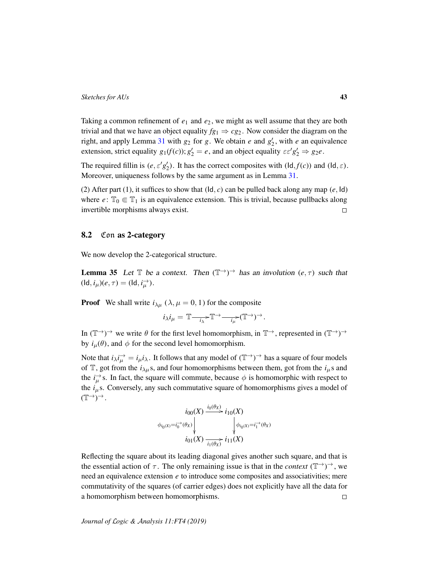Taking a common refinement of  $e_1$  and  $e_2$ , we might as well assume that they are both trivial and that we have an object equality  $fg_1 \Rightarrow cg_2$ . Now consider the diagram on the right, and apply Lemma [31](#page-39-0) with  $g_2$  for  $g$ . We obtain  $e$  and  $g'_2$ , with  $e$  an equivalence extension, strict equality  $g_1(f(c))$ ;  $g'_2 = e$ , and an object equality  $\varepsilon \varepsilon' g'_2 \Rightarrow g_2 e$ .

The required fillin is  $(e, \varepsilon' g_2')$ . It has the correct composites with  $(\text{Id}, f(c))$  and  $(\text{Id}, \varepsilon)$ . Moreover, uniqueness follows by the same argument as in Lemma [31.](#page-39-0)

(2) After part (1), it suffices to show that  $(\mathsf{Id}, c)$  can be pulled back along any map  $(e, \mathsf{Id})$ where  $e: \mathbb{T}_0 \in \mathbb{T}_1$  is an equivalence extension. This is trivial, because pullbacks along invertible morphisms always exist.  $\Box$ 

# 8.2 Con as 2-category

We now develop the 2-categorical structure.

<span id="page-42-0"></span>**Lemma 35** Let  $\mathbb{T}$  be a context. Then  $(\mathbb{T}^{\rightarrow})^{\rightarrow}$  has an involution  $(e, \tau)$  such that  $(\mathsf{Id}, i_\mu)(e, \tau) = (\mathsf{Id}, i_\mu^\rightarrow).$ 

**Proof** We shall write  $i_{\lambda\mu}$  ( $\lambda, \mu = 0, 1$ ) for the composite

$$
i_{\lambda}i_{\mu} = \mathbb{T} \longrightarrow \mathbb{T} \longrightarrow \mathbb{T} \longrightarrow \mathbb{T} \longrightarrow \mathbb{T} \longrightarrow \mathbb{T} \longrightarrow \mathbb{T} \longrightarrow \mathbb{T} \longrightarrow \mathbb{T} \longrightarrow \mathbb{T} \longrightarrow \mathbb{T} \longrightarrow \mathbb{T} \longrightarrow \mathbb{T} \longrightarrow \mathbb{T} \longrightarrow \mathbb{T} \longrightarrow \mathbb{T} \longrightarrow \mathbb{T} \longrightarrow \mathbb{T} \longrightarrow \mathbb{T} \longrightarrow \mathbb{T} \longrightarrow \mathbb{T} \longrightarrow \mathbb{T} \longrightarrow \mathbb{T} \longrightarrow \mathbb{T} \longrightarrow \mathbb{T} \longrightarrow \mathbb{T} \longrightarrow \mathbb{T} \longrightarrow \mathbb{T} \longrightarrow \mathbb{T} \longrightarrow \mathbb{T} \longrightarrow \mathbb{T} \longrightarrow \mathbb{T} \longrightarrow \mathbb{T} \longrightarrow \mathbb{T} \longrightarrow \mathbb{T} \longrightarrow \mathbb{T} \longrightarrow \mathbb{T} \longrightarrow \mathbb{T} \longrightarrow \mathbb{T} \longrightarrow \mathbb{T} \longrightarrow \mathbb{T} \longrightarrow \mathbb{T} \longrightarrow \mathbb{T} \longrightarrow \mathbb{T} \longrightarrow \mathbb{T} \longrightarrow \mathbb{T} \longrightarrow \mathbb{T} \longrightarrow \mathbb{T} \longrightarrow \mathbb{T} \longrightarrow \mathbb{T} \longrightarrow \mathbb{T} \longrightarrow \mathbb{T} \longrightarrow \mathbb{T} \longrightarrow \mathbb{T} \longrightarrow \mathbb{T} \longrightarrow \mathbb{T} \longrightarrow \mathbb{T} \longrightarrow \mathbb{T} \longrightarrow \mathbb{T} \longrightarrow \mathbb{T} \longrightarrow \mathbb{T} \longrightarrow \mathbb{T} \longrightarrow \mathbb{T} \longrightarrow \mathbb{T} \longrightarrow \mathbb{T} \longrightarrow \mathbb{T} \longrightarrow \mathbb{T} \longrightarrow \mathbb{T} \longrightarrow \mathbb{T} \longrightarrow \mathbb{T} \longrightarrow \mathbb{T} \longrightarrow \mathbb{T} \longrightarrow \mathbb{T} \longrightarrow \mathbb{T} \longrightarrow \mathbb{T} \longrightarrow \mathbb{T} \longrightarrow \mathbb{T} \longrightarrow \mathbb{T} \longrightarrow \mathbb{T} \longrightarrow \mathbb{T} \longrightarrow \mathbb{T} \longrightarrow \mathbb{T} \longrightarrow \mathbb{T} \longrightarrow \mathbb{T} \longrightarrow \mathbb{T} \longrightarrow \mathbb{T} \longrightarrow \mathbb{T} \longrightarrow \mathbb{T} \longrightarrow \mathbb{T} \longrightarrow \mathbb{T} \longrightarrow \mathbb{T} \longrightarrow \mathbb{T} \longrightarrow \mathbb{T} \longrightarrow \mathbb{T} \longrightarrow \mathbb{T} \longrightarrow \mathbb{T} \longrightarrow \mathbb{T} \longrightarrow \mathbb{T} \longrightarrow \mathbb{T} \longrightarrow \mathbb{T} \longrightarrow \mathbb{T} \longrightarrow \mathbb{T} \longrightarrow \mathbb{T} \longrightarrow \mathbb{T} \longrightarrow \mathbb{T} \longrightarrow \mathbb{T} \longrightarrow \mathbb{T} \
$$

In  $(\mathbb{T}^{\rightarrow})^{\rightarrow}$  we write  $\theta$  for the first level homomorphism, in  $\mathbb{T}^{\rightarrow}$ , represented in  $(\mathbb{T}^{\rightarrow})^{\rightarrow}$ by  $i_{\mu}(\theta)$ , and  $\phi$  for the second level homomorphism.

Note that  $i_\lambda i_\mu^{\rightarrow} = i_\mu i_\lambda$ . It follows that any model of  $(\mathbb{T}^{\rightarrow})^{\rightarrow}$  has a square of four models of  $\mathbb{T}$ , got from the  $i_{\lambda\mu}$ s, and four homomorphisms between them, got from the  $i_{\mu}$ s and the  $i_{\mu}^{\rightarrow}$  s. In fact, the square will commute, because  $\phi$  is homomorphic with respect to the  $i_{\mu}$ s. Conversely, any such commutative square of homomorphisms gives a model of  $(\mathbb{T}^{\rightarrow})^{\rightarrow}$ .

$$
\begin{array}{c}\ni_{00}(X) \xrightarrow{i_{0}(\theta_{X})} i_{10}(X) \\
\phi_{i_{0}(X)} = i_{0}^{-\lambda}(\theta_{X}) \downarrow \qquad \qquad \downarrow \phi_{i_{0}(X)} = i_{1}^{-\lambda}(\theta_{X}) \\
i_{01}(X) \xrightarrow[i_{1}(\theta_{X})] i_{11}(X)\n\end{array}
$$

Reflecting the square about its leading diagonal gives another such square, and that is the essential action of  $\tau$ . The only remaining issue is that in the *context* ( $\mathbb{T}^{\rightarrow}$ )<sup>→</sup>, we need an equivalence extension *e* to introduce some composites and associativities; mere commutativity of the squares (of carrier edges) does not explicitly have all the data for a homomorphism between homomorphisms.  $\Box$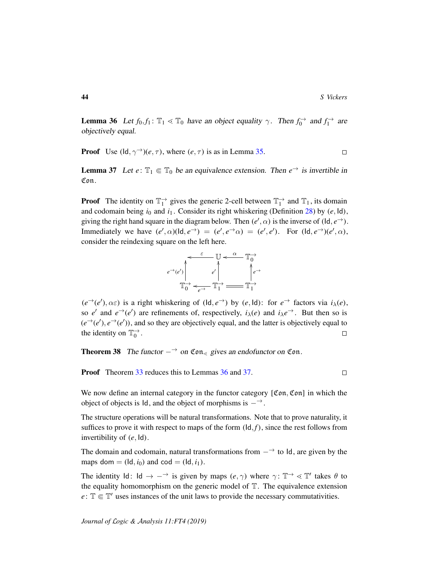<span id="page-43-0"></span>**Lemma 36** Let  $f_0, f_1 : \mathbb{T}_1 \ll \mathbb{T}_0$  have an object equality  $\gamma$ . Then  $f_0 \to$  and  $f_1 \to$  are objectively equal.

**Proof** Use 
$$
(\mathsf{Id}, \gamma^{\rightarrow})(e, \tau)
$$
, where  $(e, \tau)$  is as in Lemma 35.

<span id="page-43-1"></span>**Lemma 37** Let  $e: \mathbb{T}_1 \in \mathbb{T}_0$  be an equivalence extension. Then  $e^{\rightarrow}$  is invertible in Con.

**Proof** The identity on  $\mathbb{T}_1^{\to}$  gives the generic 2-cell between  $\mathbb{T}_1^{\to}$  and  $\mathbb{T}_1$ , its domain and codomain being  $i_0$  and  $i_1$ . Consider its right whiskering (Definition [28\)](#page-38-0) by  $(e, \text{Id})$ , giving the right hand square in the diagram below. Then  $(e', \alpha)$  is the inverse of  $(\mathsf{Id}, e^{\rightarrow})$ . Immediately we have  $(e', \alpha)(\text{Id}, e^{\rightarrow}) = (e', e^{\rightarrow} \alpha) = (e', e')$ . For  $(\text{Id}, e^{\rightarrow})(e', \alpha)$ , consider the reindexing square on the left here.



 $(e^{\rightarrow}(e'), \alpha \varepsilon)$  is a right whiskering of  $(\mathsf{Id}, e^{\rightarrow})$  by  $(e, \mathsf{Id})$ : for  $e^{\rightarrow}$  factors via  $i_{\lambda}(e)$ , so *e'* and  $e^{\rightarrow}(e')$  are refinements of, respectively,  $i_{\lambda}(e)$  and  $i_{\lambda}e^{\rightarrow}$ . But then so is  $(e^{\rightarrow}(e'), e^{\rightarrow}(e'))$ , and so they are objectively equal, and the latter is objectively equal to the identity on  $\mathbb{T}_0^{\to}$ .  $\Box$ 

**Theorem 38** The functor  $-\rightarrow$  on  $\mathfrak{Con}_{\leq}$  gives an endofunctor on  $\mathfrak{Con}$ .

**Proof** Theorem [33](#page-40-1) reduces this to Lemmas [36](#page-43-0) and [37.](#page-43-1)

We now define an internal category in the functor category [Con, Con] in which the object of objects is Id, and the object of morphisms is  $-\rightarrow$ .

The structure operations will be natural transformations. Note that to prove naturality, it suffices to prove it with respect to maps of the form  $(\mathsf{Id}, f)$ , since the rest follows from invertibility of (*e*, Id).

The domain and codomain, natural transformations from  $-\rightarrow$  to Id, are given by the maps dom  $=$  (ld,  $i_0$ ) and cod  $=$  (ld,  $i_1$ ).

The identity  $Id: Id \to -\rightarrow$  is given by maps  $(e, \gamma)$  where  $\gamma: \mathbb{T} \to \mathbb{T}'$  takes  $\theta$  to the equality homomorphism on the generic model of  $T$ . The equivalence extension  $e: \mathbb{T} \in \mathbb{T}'$  uses instances of the unit laws to provide the necessary commutativities.

 $\Box$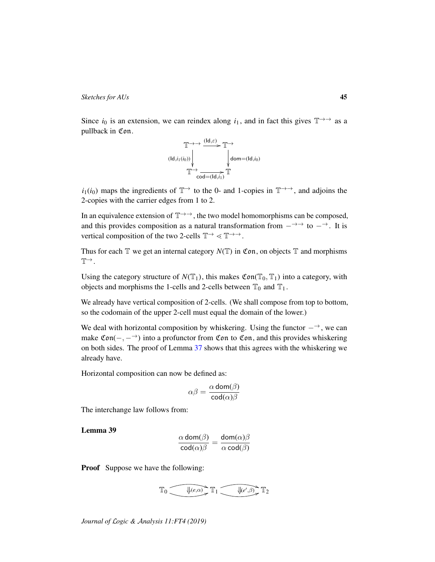Since  $i_0$  is an extension, we can reindex along  $i_1$ , and in fact this gives  $\mathbb{T} \rightarrow \rightarrow$  as a pullback in Con.



 $i_1(i_0)$  maps the ingredients of  $\mathbb{T}^{\rightarrow}$  to the 0- and 1-copies in  $\mathbb{T}^{\rightarrow}$ , and adjoins the 2-copies with the carrier edges from 1 to 2.

In an equivalence extension of  $T \rightarrow \rightarrow$ , the two model homomorphisms can be composed, and this provides composition as a natural transformation from  $-\rightarrow$  to  $-\rightarrow$ . It is vertical composition of the two 2-cells  $\mathbb{T} \rightarrow \mathbb{R} \rightarrow \mathbb{R}$ .

Thus for each  $\mathbb T$  we get an internal category  $N(\mathbb T)$  in Con, on objects  $\mathbb T$  and morphisms  $T^{\rightarrow}$ .

Using the category structure of  $N(\mathbb{T}_1)$ , this makes  $\mathfrak{Con}(\mathbb{T}_0, \mathbb{T}_1)$  into a category, with objects and morphisms the 1-cells and 2-cells between  $\mathbb{T}_0$  and  $\mathbb{T}_1$ .

We already have vertical composition of 2-cells. (We shall compose from top to bottom, so the codomain of the upper 2-cell must equal the domain of the lower.)

We deal with horizontal composition by whiskering. Using the functor  $-\rightarrow$ , we can make  $\mathfrak{Con}(-, -^{\rightarrow})$  into a profunctor from  $\mathfrak{Con}$  to  $\mathfrak{Con}$ , and this provides whiskering on both sides. The proof of Lemma [37](#page-43-1) shows that this agrees with the whiskering we already have.

Horizontal composition can now be defined as:

$$
\alpha \beta = \frac{\alpha \operatorname{dom}(\beta)}{\operatorname{cod}(\alpha)\beta}
$$

The interchange law follows from:

Lemma 39

$$
\frac{\alpha \operatorname{dom}(\beta)}{\operatorname{cod}(\alpha)\beta} = \frac{\operatorname{dom}(\alpha)\beta}{\alpha \operatorname{cod}(\beta)}
$$

**Proof** Suppose we have the following:

$$
\mathbb{T}_0 \xrightarrow{\text{#}(e,\alpha)} \mathbb{T}_1 \xrightarrow{\text{#}(e',\beta)} \mathbb{T}_2
$$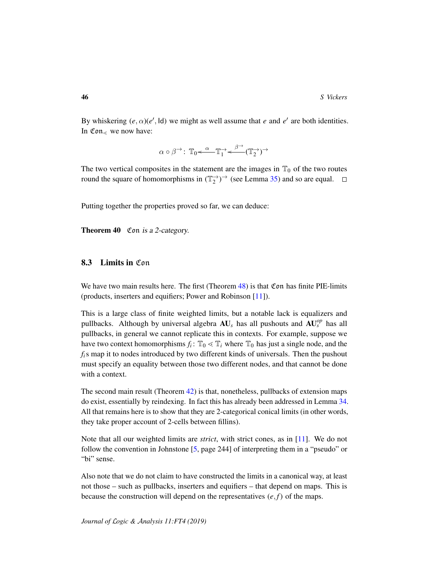By whiskering  $(e, \alpha)(e', \text{Id})$  we might as well assume that *e* and  $e'$  are both identities. In  $\mathfrak{Con}_{\leq}$  we now have:

$$
\alpha \circ \beta^{\rightarrow} \colon \mathbb{T}_0 \leftarrow \mathbb{T}_1^{\rightarrow} \leftarrow \mathbb{T}_2^{\rightarrow} (\mathbb{T}_2^{\rightarrow})^{\rightarrow}
$$

The two vertical composites in the statement are the images in  $\mathbb{T}_0$  of the two routes round the square of homomorphisms in  $(\mathbb{T}_2^{\to})^{\to}$  (see Lemma [35\)](#page-42-0) and so are equal.

Putting together the properties proved so far, we can deduce:

Theorem 40 Con is a 2-category.

# 8.3 Limits in Con

We have two main results here. The first (Theorem  $48$ ) is that Con has finite PIE-limits (products, inserters and equifiers; Power and Robinson [\[11\]](#page-54-9)).

This is a large class of finite weighted limits, but a notable lack is equalizers and pullbacks. Although by universal algebra  $AU_s$  has all pushouts and  $AU_s^{op}$  has all pullbacks, in general we cannot replicate this in contexts. For example, suppose we have two context homomorphisms  $f_i: \mathbb{T}_0 \leq \mathbb{T}_i$  where  $\mathbb{T}_0$  has just a single node, and the *fi*s map it to nodes introduced by two different kinds of universals. Then the pushout must specify an equality between those two different nodes, and that cannot be done with a context.

The second main result (Theorem [42\)](#page-46-0) is that, nonetheless, pullbacks of extension maps do exist, essentially by reindexing. In fact this has already been addressed in Lemma [34.](#page-41-0) All that remains here is to show that they are 2-categorical conical limits (in other words, they take proper account of 2-cells between fillins).

Note that all our weighted limits are *strict*, with strict cones, as in [\[11\]](#page-54-9). We do not follow the convention in Johnstone [\[5,](#page-54-1) page 244] of interpreting them in a "pseudo" or "bi" sense.

Also note that we do not claim to have constructed the limits in a canonical way, at least not those – such as pullbacks, inserters and equifiers – that depend on maps. This is because the construction will depend on the representatives  $(e, f)$  of the maps.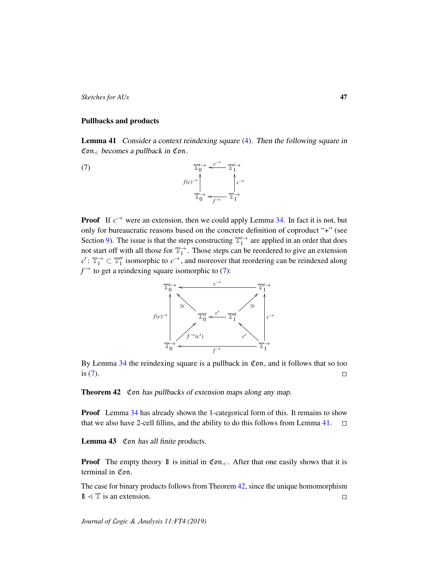### Pullbacks and products

<span id="page-46-2"></span>Lemma 41 Consider a context reindexing square [\(4\)](#page-19-1). Then the following square in  $\mathfrak{Con}_{\leq}$  becomes a pullback in Con.

<span id="page-46-1"></span> $\mathbb{T}$  $\int_0^{\rightarrow} \leftarrow \infty$   $\mathbb{T}_1^{\prime}$   $\rightarrow$  $\varepsilon^{\rightarrow}$  $\mathbb{T}^{\rightarrow}_0$  $f(c)$ <sup>→</sup> ,<br>I  $\mathbb{T}_1^{\rightarrow}$ *c*<sup>→</sup> l<br>\  $\leftarrow$ <sup>*f*→</sup>

**Proof** If  $c^{\rightarrow}$  were an extension, then we could apply Lemma [34.](#page-41-0) In fact it is not, but only for bureaucratic reasons based on the concrete definition of coproduct "+" (see Section [9\)](#page-50-0). The issue is that the steps constructing  $\mathbb{T}'_1$  are applied in an order that does not start off with all those for  $\mathbb{T}_1^{\to}$ . Those steps can be reordered to give an extension  $c'$ :  $\mathbb{T}_1^{\rightarrow} \subset \mathbb{T}_1''$  isomorphic to  $c^{\rightarrow}$ , and moreover that reordering can be reindexed along  $f^{\rightarrow}$  to get a reindexing square isomorphic to [\(7\)](#page-46-1):



By Lemma [34](#page-41-0) the reindexing square is a pullback in Con, and it follows that so too is [\(7\)](#page-46-1).  $\Box$ 

<span id="page-46-0"></span>Theorem 42 Con has pullbacks of extension maps along any map.

**Proof** Lemma [34](#page-41-0) has already shown the 1-categorical form of this. It remains to show that we also have 2-cell fillins, and the ability to do this follows from Lemma [41.](#page-46-2)  $\Box$ 

<span id="page-46-3"></span>Lemma 43 Con has all finite products.

**Proof** The empty theory 1 is initial in  $\mathfrak{Con}_{\le}$ . After that one easily shows that it is terminal in Con.

The case for binary products follows from Theorem [42,](#page-46-0) since the unique homomorphism  $1 \leq T$  is an extension.  $\Box$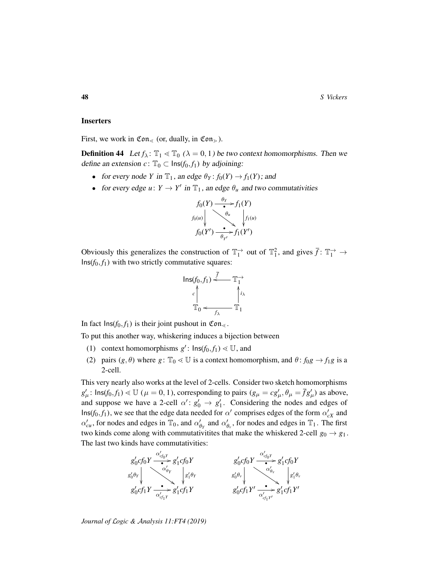#### **Inserters**

First, we work in  $\mathfrak{Con}_{\leq}$  (or, dually, in  $\mathfrak{Con}_{\geq}$ ).

**Definition 44** Let  $f_{\lambda}$ :  $\mathbb{T}_1 \leq \mathbb{T}_0$  ( $\lambda = 0, 1$ ) be two context homomorphisms. Then we define an extension  $c: \mathbb{T}_0 \subset \text{Ins}(f_0, f_1)$  by adjoining:

- for every node *Y* in  $\mathbb{T}_1$ , an edge  $\theta_Y : f_0(Y) \to f_1(Y)$ ; and
- for every edge  $u: Y \to Y'$  in  $\mathbb{T}_1$ , an edge  $\theta_u$  and two commutativities



Obviously this generalizes the construction of  $\mathbb{T}_1^{\to}$  out of  $\mathbb{T}_1^2$ , and gives  $\bar{f} \colon \mathbb{T}_1^{\to} \to$  $Ins(f_0, f_1)$  with two strictly commutative squares:



In fact  $\text{Ins}(f_0, f_1)$  is their joint pushout in  $\mathfrak{Con}_{\leq}$ .

To put this another way, whiskering induces a bijection between

- (1) context homomorphisms  $g'$ :  $\text{Ins}(f_0, f_1) \leq U$ , and
- (2) pairs  $(g, \theta)$  where  $g: \mathbb{T}_0 \leq U$  is a context homomorphism, and  $\theta: f_0g \to f_1g$  is a 2-cell.

This very nearly also works at the level of 2-cells. Consider two sketch homomorphisms  $g'_{\mu}$ :  $\text{Ins}(f_0, f_1) \ll \mathbb{U}$  ( $\mu = 0, 1$ ), corresponding to pairs ( $g_{\mu} = cg'_{\mu}, \theta_{\mu} = \bar{f}g'_{\mu}$ ) as above, and suppose we have a 2-cell  $\alpha' : g'_0 \to g'_1$ . Considering the nodes and edges of  $\textsf{Ins}(f_0, f_1)$ , we see that the edge data needed for  $\alpha'$  comprises edges of the form  $\alpha'_{cX}$  and  $\alpha'_{cu}$ , for nodes and edges in  $\mathbb{T}_0$ , and  $\alpha'_{\theta_Y}$  and  $\alpha'_{\theta_Y}$ , for nodes and edges in  $\mathbb{T}_1$ . The first two kinds come along with commutativitites that make the whiskered 2-cell  $g_0 \rightarrow g_1$ . The last two kinds have commutativities:

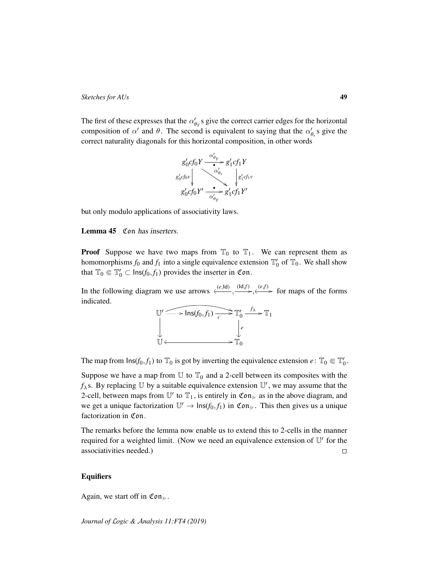The first of these expresses that the  $\alpha'_{\theta_Y}$ s give the correct carrier edges for the horizontal composition of  $\alpha'$  and  $\theta$ . The second is equivalent to saying that the  $\alpha'_{\theta_v}$  s give the correct naturality diagonals for this horizontal composition, in other words



but only modulo applications of associativity laws.

## <span id="page-48-0"></span>Lemma 45 Con has inserters.

**Proof** Suppose we have two maps from  $\mathbb{T}_0$  to  $\mathbb{T}_1$ . We can represent them as homomorphisms  $f_0$  and  $f_1$  into a single equivalence extension  $\mathbb{T}'_0$  of  $\mathbb{T}_0$ . We shall show that  $\mathbb{T}_0 \in \mathbb{T}'_0 \subset \text{Ins}(f_0, f_1)$  provides the inserter in Con.

In the following diagram we use arrows  $\xrightarrow{(e,\text{Id})} \xrightarrow{(1d,f)} \xleftarrow{(e,f)}$  for maps of the forms indicated.



The map from  $\text{Ins}(f_0, f_1)$  to  $\mathbb{T}_0$  is got by inverting the equivalence extension  $e \colon \mathbb{T}_0 \in \mathbb{T}'_0$ .

Suppose we have a map from  $\mathbb U$  to  $\mathbb T_0$  and a 2-cell between its composites with the  $f_{\lambda}$ s. By replacing U by a suitable equivalence extension  $\mathbb{U}'$ , we may assume that the 2-cell, between maps from  $\mathbb{U}'$  to  $\mathbb{T}_1$ , is entirely in  $\mathfrak{Con}_{\geq 0}$  as in the above diagram, and we get a unique factorization  $\mathbb{U}' \to \text{Ins}(f_0, f_1)$  in  $\mathfrak{Con}_{\ge}$ . This then gives us a unique factorization in Con.

The remarks before the lemma now enable us to extend this to 2-cells in the manner required for a weighted limit. (Now we need an equivalence extension of  $\mathbb{U}'$  for the associativities needed.)  $\Box$ 

## **Equifiers**

Again, we start off in  $\mathfrak{Con}_{\geq}$ .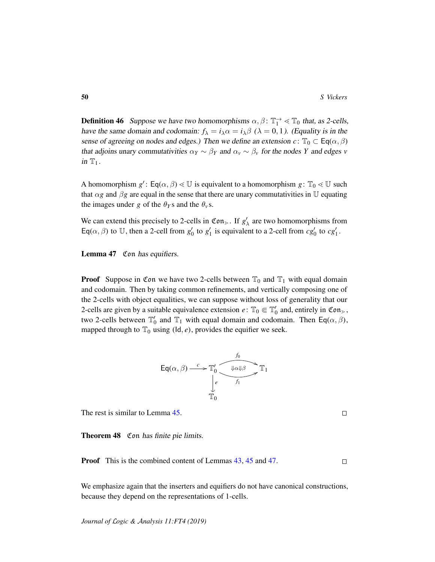**Definition 46** Suppose we have two homomorphisms  $\alpha$ ,  $\beta$ :  $\mathbb{T}_1^{\rightarrow} \leq \mathbb{T}_0$  that, as 2-cells, have the same domain and codomain:  $f_{\lambda} = i_{\lambda} \alpha = i_{\lambda} \beta$  ( $\lambda = 0, 1$ ). (Equality is in the sense of agreeing on nodes and edges.) Then we define an extension  $c: \mathbb{T}_0 \subset \mathsf{Eq}(\alpha, \beta)$ that adjoins unary commutativities  $\alpha_Y \sim \beta_Y$  and  $\alpha_Y \sim \beta_Y$  for the nodes *Y* and edges *v* in  $T_1$ .

A homomorphism  $g'$ :  $\textsf{Eq}(\alpha, \beta) \leq \mathbb{U}$  is equivalent to a homomorphism  $g: \mathbb{T}_0 \leq \mathbb{U}$  such that  $\alpha$ *g* and  $\beta$ *g* are equal in the sense that there are unary commutativities in U equating the images under *g* of the  $\theta_Y$ s and the  $\theta_Y$ s.

We can extend this precisely to 2-cells in  $\mathfrak{Con}_{\ge}$ . If  $g'_{\lambda}$  are two homomorphisms from Eq( $\alpha$ ,  $\beta$ ) to U, then a 2-cell from  $g'_0$  to  $g'_1$  is equivalent to a 2-cell from  $cg'_0$  to  $cg'_1$ .

<span id="page-49-1"></span>Lemma 47 Con has equifiers.

**Proof** Suppose in Con we have two 2-cells between  $\mathbb{T}_0$  and  $\mathbb{T}_1$  with equal domain and codomain. Then by taking common refinements, and vertically composing one of the 2-cells with object equalities, we can suppose without loss of generality that our 2-cells are given by a suitable equivalence extension  $e: \mathbb{T}_0 \in \mathbb{T}'_0$  and, entirely in  $\mathfrak{Con}_{\geq 0}$ , two 2-cells between  $\mathbb{T}'_0$  and  $\mathbb{T}_1$  with equal domain and codomain. Then  $\mathsf{Eq}(\alpha,\beta)$ , mapped through to  $\mathbb{T}_0$  using ( $\text{Id}, e$ ), provides the equifier we seek.

$$
\mathsf{Eq}(\alpha,\beta) \xrightarrow{c} \mathbb{T}'_0 \xrightarrow{\qquad \qquad \downarrow \alpha \Downarrow \beta} \mathbb{T}_1
$$
\n
$$
\downarrow_{\mathbb{C}} \xrightarrow{\qquad \qquad \downarrow \alpha \Downarrow \beta} \mathbb{T}_1
$$
\n
$$
\mathbb{T}_0
$$

The rest is similar to Lemma [45.](#page-48-0)

<span id="page-49-0"></span>Theorem 48 Con has finite pie limits.

Proof This is the combined content of Lemmas [43,](#page-46-3) [45](#page-48-0) and [47.](#page-49-1)  $\Box$ 

We emphasize again that the inserters and equifiers do not have canonical constructions, because they depend on the representations of 1-cells.

 $\Box$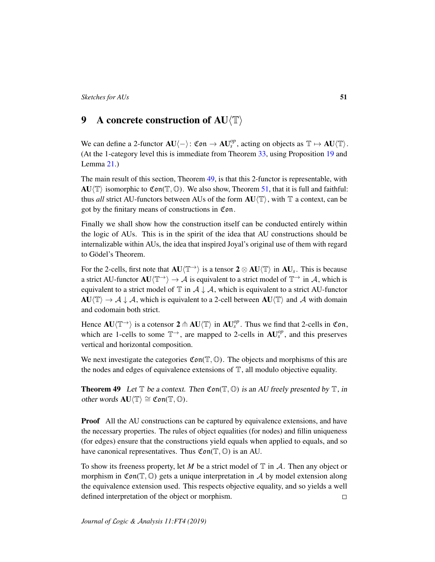# <span id="page-50-0"></span>9 A concrete construction of  $AU$  $\langle T \rangle$

We can define a 2-functor  $AU\langle-\rangle$ :  $\mathfrak{Con} \to AU_s^{op}$ , acting on objects as  $\mathbb{T} \mapsto AU \langle \mathbb{T} \rangle$ . (At the 1-category level this is immediate from Theorem [33,](#page-40-1) using Proposition [19](#page-31-1) and Lemma [21.](#page-32-0))

The main result of this section, Theorem [49,](#page-50-1) is that this 2-functor is representable, with  $AU\langle T\rangle$  isomorphic to Con(T, O). We also show, Theorem [51,](#page-51-0) that it is full and faithful: thus *all* strict AU-functors between AUs of the form  $AU(T)$ , with  $T$  a context, can be got by the finitary means of constructions in Con.

Finally we shall show how the construction itself can be conducted entirely within the logic of AUs. This is in the spirit of the idea that AU constructions should be internalizable within AUs, the idea that inspired Joyal's original use of them with regard to Gödel's Theorem.

For the 2-cells, first note that  $AU\langle T \rangle$  is a tensor  $2 \otimes AU\langle T \rangle$  in  $AU_s$ . This is because a strict AU-functor  $AU(T \rightarrow) \rightarrow A$  is equivalent to a strict model of  $T \rightarrow \infty$  in A, which is equivalent to a strict model of  $\mathbb T$  in  $\mathcal A \downarrow \mathcal A$ , which is equivalent to a strict AU-functor  $AU(\mathbb{T}) \to A \downarrow A$ , which is equivalent to a 2-cell between  $AU(\mathbb{T})$  and A with domain and codomain both strict.

Hence  $AU\langle T \rangle$  is a cotensor  $2 \text{ } \pitchfork AU\langle T \rangle$  in  $AU_s^{op}$ . Thus we find that 2-cells in Con, which are 1-cells to some  $T^{\rightarrow}$ , are mapped to 2-cells in  $AU_s^{op}$ , and this preserves vertical and horizontal composition.

We next investigate the categories  $Con(\mathbb{T}, \mathbb{O})$ . The objects and morphisms of this are the nodes and edges of equivalence extensions of  $\mathbb{T}$ , all modulo objective equality.

<span id="page-50-1"></span>**Theorem 49** Let  $\mathbb T$  be a context. Then  $\mathfrak{Con}(\mathbb T, \mathbb O)$  is an AU freely presented by  $\mathbb T$ , in other words  $\mathbf{A} \mathbf{U} \langle \mathbb{T} \rangle \cong \mathfrak{Con}(\mathbb{T}, \mathbb{O})$ .

**Proof** All the AU constructions can be captured by equivalence extensions, and have the necessary properties. The rules of object equalities (for nodes) and fillin uniqueness (for edges) ensure that the constructions yield equals when applied to equals, and so have canonical representatives. Thus  $Con(\mathbb{T}, \mathbb{O})$  is an AU.

To show its freeness property, let M be a strict model of  $\mathbb T$  in  $\mathcal A$ . Then any object or morphism in  $\mathfrak{Con}(\mathbb{T}, \mathbb{O})$  gets a unique interpretation in A by model extension along the equivalence extension used. This respects objective equality, and so yields a well defined interpretation of the object or morphism.  $\Box$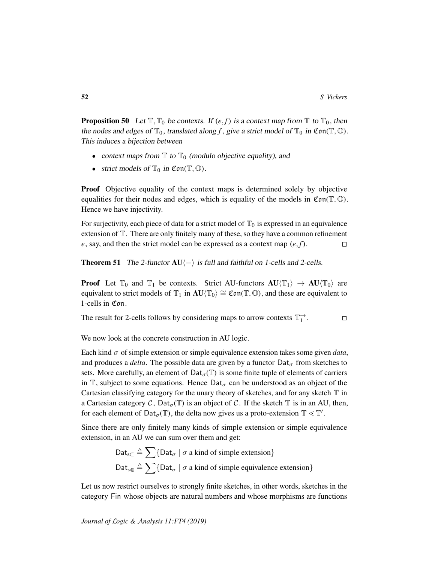**Proposition 50** Let  $\mathbb{T}, \mathbb{T}_0$  be contexts. If  $(e, f)$  is a context map from  $\mathbb{T}$  to  $\mathbb{T}_0$ , then the nodes and edges of  $\mathbb{T}_0$ , translated along f, give a strict model of  $\mathbb{T}_0$  in  $\mathfrak{Con}(\mathbb{T}, \mathbb{O})$ . This induces a bijection between

- context maps from  $\mathbb T$  to  $\mathbb T_0$  (modulo objective equality), and
- strict models of  $\mathbb{T}_0$  in Con( $\mathbb{T}, \mathbb{O}$ ).

**Proof** Objective equality of the context maps is determined solely by objective equalities for their nodes and edges, which is equality of the models in  $Con(\mathbb{T}, \mathbb{O})$ . Hence we have injectivity.

For surjectivity, each piece of data for a strict model of  $\mathbb{T}_0$  is expressed in an equivalence extension of T. There are only finitely many of these, so they have a common refinement  $e$ , say, and then the strict model can be expressed as a context map  $(e, f)$ .  $\Box$ 

<span id="page-51-0"></span>**Theorem 51** The 2-functor  $AU\langle -\rangle$  is full and faithful on 1-cells and 2-cells.

**Proof** Let  $\mathbb{T}_0$  and  $\mathbb{T}_1$  be contexts. Strict AU-functors  $AU(\mathbb{T}_1) \rightarrow AU(\mathbb{T}_0)$  are equivalent to strict models of  $\mathbb{T}_1$  in  $AU(\mathbb{T}_0) \cong \mathfrak{Con}(\mathbb{T}, \mathbb{O})$ , and these are equivalent to 1-cells in Con.

The result for 2-cells follows by considering maps to arrow contexts  $\mathbb{T}_1^{\rightarrow}$ .  $\Box$ 

We now look at the concrete construction in AU logic.

Each kind  $\sigma$  of simple extension or simple equivalence extension takes some given *data*, and produces a *delta*. The possible data are given by a functor  $\text{Det}_{\sigma}$  from sketches to sets. More carefully, an element of  $\text{Det}_{\sigma}(\mathbb{T})$  is some finite tuple of elements of carriers in T, subject to some equations. Hence  $\text{Det}_{\sigma}$  can be understood as an object of the Cartesian classifying category for the unary theory of sketches, and for any sketch  $\mathbb T$  in a Cartesian category C,  $\text{Det}_{\sigma}(\mathbb{T})$  is an object of C. If the sketch  $\mathbb{T}$  is in an AU, then, for each element of  $\text{Det}_{\sigma}(\mathbb{T})$ , the delta now gives us a proto-extension  $\mathbb{T} \leq \mathbb{T}'$ .

Since there are only finitely many kinds of simple extension or simple equivalence extension, in an AU we can sum over them and get:

$$
Data_{s\subset} \triangleq \sum \{Data_{\sigma} \mid \sigma \text{ a kind of simple extension}\}
$$
  

$$
Data_{s\in} \triangleq \sum \{Data_{\sigma} \mid \sigma \text{ a kind of simple equivalence extension}\}
$$

Let us now restrict ourselves to strongly finite sketches, in other words, sketches in the category Fin whose objects are natural numbers and whose morphisms are functions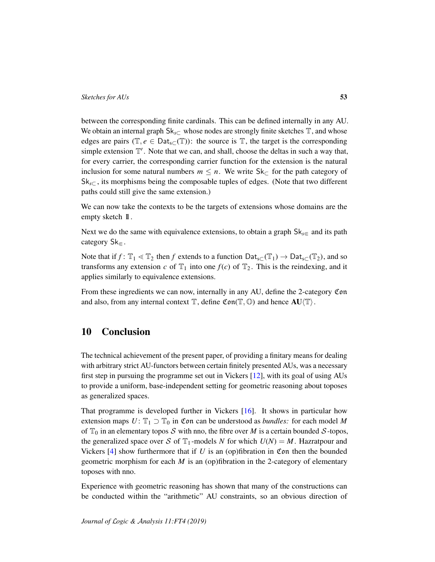between the corresponding finite cardinals. This can be defined internally in any AU. We obtain an internal graph Sk<sub>s</sub>⊂ whose nodes are strongly finite sketches  $\mathbb{T}$ , and whose edges are pairs ( $\mathbb{T}, e \in \text{Cat}_{\text{sc}}(\mathbb{T})$ ): the source is  $\mathbb{T}$ , the target is the corresponding simple extension  $\mathbb{T}'$ . Note that we can, and shall, choose the deltas in such a way that, for every carrier, the corresponding carrier function for the extension is the natural inclusion for some natural numbers  $m \leq n$ . We write  $Sk_{\subset}$  for the path category of Sk*s*<sup>⊂</sup> , its morphisms being the composable tuples of edges. (Note that two different paths could still give the same extension.)

We can now take the contexts to be the targets of extensions whose domains are the empty sketch 1.

Next we do the same with equivalence extensions, to obtain a graph  $Sk_{s\in A}$  and its path category  $Sk_{\in}$ .

Note that if *f* :  $\mathbb{T}_1 \leq \mathbb{T}_2$  then *f* extends to a function  $\text{Cat}_{s\subset}(\mathbb{T}_1) \to \text{Cat}_{s\subset}(\mathbb{T}_2)$ , and so transforms any extension *c* of  $\mathbb{T}_1$  into one  $f(c)$  of  $\mathbb{T}_2$ . This is the reindexing, and it applies similarly to equivalence extensions.

From these ingredients we can now, internally in any AU, define the 2-category Con and also, from any internal context  $\mathbb T$ , define  $\mathfrak{Con}(\mathbb T,\mathbb O)$  and hence  $\mathbf{A}\mathbf{U}\langle \mathbb T\rangle$ .

# 10 Conclusion

The technical achievement of the present paper, of providing a finitary means for dealing with arbitrary strict AU-functors between certain finitely presented AUs, was a necessary first step in pursuing the programme set out in Vickers [\[12\]](#page-54-0), with its goal of using AUs to provide a uniform, base-independent setting for geometric reasoning about toposes as generalized spaces.

That programme is developed further in Vickers [\[16\]](#page-55-0). It shows in particular how extension maps  $U: \mathbb{T}_1 \supset \mathbb{T}_0$  in Con can be understood as *bundles:* for each model M of  $\mathbb{T}_0$  in an elementary topos S with nno, the fibre over M is a certain bounded S-topos, the generalized space over S of  $T_1$ -models N for which  $U(N) = M$ . Hazratpour and Vickers  $[4]$  show furthermore that if  $U$  is an (op)fibration in Con then the bounded geometric morphism for each *M* is an (op)fibration in the 2-category of elementary toposes with nno.

Experience with geometric reasoning has shown that many of the constructions can be conducted within the "arithmetic" AU constraints, so an obvious direction of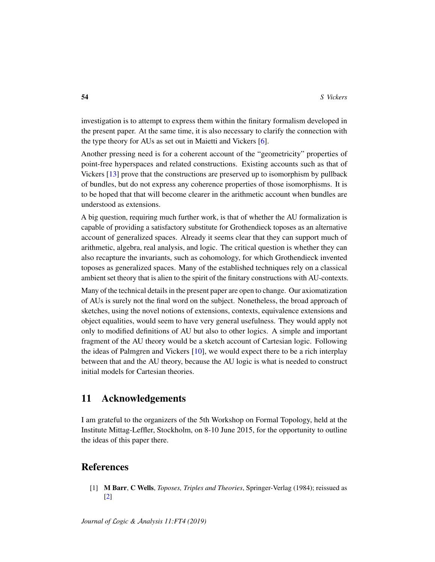investigation is to attempt to express them within the finitary formalism developed in the present paper. At the same time, it is also necessary to clarify the connection with the type theory for AUs as set out in Maietti and Vickers [\[6\]](#page-54-11).

Another pressing need is for a coherent account of the "geometricity" properties of point-free hyperspaces and related constructions. Existing accounts such as that of Vickers [\[13\]](#page-54-12) prove that the constructions are preserved up to isomorphism by pullback of bundles, but do not express any coherence properties of those isomorphisms. It is to be hoped that that will become clearer in the arithmetic account when bundles are understood as extensions.

A big question, requiring much further work, is that of whether the AU formalization is capable of providing a satisfactory substitute for Grothendieck toposes as an alternative account of generalized spaces. Already it seems clear that they can support much of arithmetic, algebra, real analysis, and logic. The critical question is whether they can also recapture the invariants, such as cohomology, for which Grothendieck invented toposes as generalized spaces. Many of the established techniques rely on a classical ambient set theory that is alien to the spirit of the finitary constructions with AU-contexts.

Many of the technical details in the present paper are open to change. Our axiomatization of AUs is surely not the final word on the subject. Nonetheless, the broad approach of sketches, using the novel notions of extensions, contexts, equivalence extensions and object equalities, would seem to have very general usefulness. They would apply not only to modified definitions of AU but also to other logics. A simple and important fragment of the AU theory would be a sketch account of Cartesian logic. Following the ideas of Palmgren and Vickers [\[10\]](#page-54-5), we would expect there to be a rich interplay between that and the AU theory, because the AU logic is what is needed to construct initial models for Cartesian theories.

# 11 Acknowledgements

I am grateful to the organizers of the 5th Workshop on Formal Topology, held at the Institute Mittag-Leffler, Stockholm, on 8-10 June 2015, for the opportunity to outline the ideas of this paper there.

# References

<span id="page-53-0"></span>[1] M Barr, C Wells, *Toposes, Triples and Theories*, Springer-Verlag (1984); reissued as [\[2\]](#page-54-13)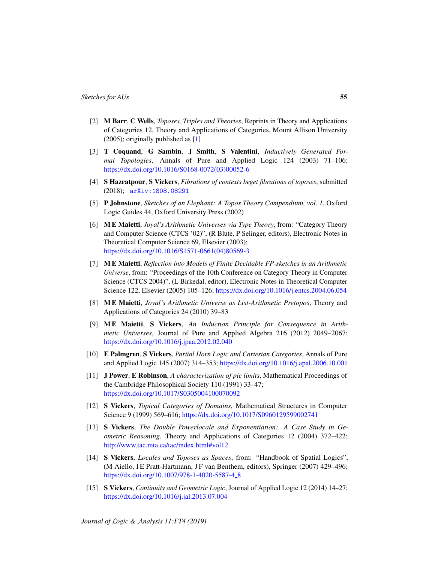- <span id="page-54-13"></span>[2] M Barr, C Wells, *Toposes, Triples and Theories*, Reprints in Theory and Applications of Categories 12, Theory and Applications of Categories, Mount Allison University (2005); originally published as [\[1\]](#page-53-0)
- <span id="page-54-8"></span>[3] T Coquand, G Sambin, J Smith, S Valentini, *Inductively Generated Formal Topologies*, Annals of Pure and Applied Logic 124 (2003) 71–106; [https://dx.doi.org/10.1016/S0168-0072\(03\)00052-6](https://dx.doi.org/10.1016/S0168-0072(03)00052-6)
- <span id="page-54-10"></span>[4] S Hazratpour, S Vickers, *Fibrations of contexts beget fibrations of toposes*, submitted (2018); [arXiv:1808.08291](http://arxiv.org/abs/1808.08291)
- <span id="page-54-1"></span>[5] P Johnstone, *Sketches of an Elephant: A Topos Theory Compendium, vol. 1*, Oxford Logic Guides 44, Oxford University Press (2002)
- <span id="page-54-11"></span>[6] M E Maietti, *Joyal's Arithmetic Universes via Type Theory*, from: "Category Theory and Computer Science (CTCS '02)", (R Blute, P Selinger, editors), Electronic Notes in Theoretical Computer Science 69, Elsevier (2003); [https://dx.doi.org/10.1016/S1571-0661\(04\)80569-3](https://dx.doi.org/10.1016/S1571-0661(04)80569-3)
- <span id="page-54-7"></span>[7] M E Maietti, *Reflection into Models of Finite Decidable FP-sketches in an Arithmetic Universe*, from: "Proceedings of the 10th Conference on Category Theory in Computer Science (CTCS 2004)", (L Birkedal, editor), Electronic Notes in Theoretical Computer Science 122, Elsevier (2005) 105–126; <https://dx.doi.org/10.1016/j.entcs.2004.06.054>
- <span id="page-54-6"></span>[8] M E Maietti, *Joyal's Arithmetic Universe as List-Arithmetic Pretopos*, Theory and Applications of Categories 24 (2010) 39–83
- <span id="page-54-4"></span>[9] M E Maietti, S Vickers, *An Induction Principle for Consequence in Arithmetic Universes*, Journal of Pure and Applied Algebra 216 (2012) 2049–2067; <https://dx.doi.org/10.1016/j.jpaa.2012.02.040>
- <span id="page-54-5"></span>[10] E Palmgren, S Vickers, *Partial Horn Logic and Cartesian Categories*, Annals of Pure and Applied Logic 145 (2007) 314–353; <https://dx.doi.org/10.1016/j.apal.2006.10.001>
- <span id="page-54-9"></span>[11] J Power, E Robinson, *A characterization of pie limits*, Mathematical Proceedings of the Cambridge Philosophical Society 110 (1991) 33–47; <https://dx.doi.org/10.1017/S0305004100070092>
- <span id="page-54-0"></span>[12] S Vickers, *Topical Categories of Domains*, Mathematical Structures in Computer Science 9 (1999) 569–616; <https://dx.doi.org/10.1017/S0960129599002741>
- <span id="page-54-12"></span>[13] S Vickers, *The Double Powerlocale and Exponentiation: A Case Study in Geometric Reasoning*, Theory and Applications of Categories 12 (2004) 372–422; <http://www.tac.mta.ca/tac/index.html#vol12>
- <span id="page-54-3"></span>[14] S Vickers, *Locales and Toposes as Spaces*, from: "Handbook of Spatial Logics", (M Aiello, I E Pratt-Hartmann, J F van Benthem, editors), Springer (2007) 429–496; [https://dx.doi.org/10.1007/978-1-4020-5587-4](https://dx.doi.org/10.1007/978-1-4020-5587-4_8) 8
- <span id="page-54-2"></span>[15] S Vickers, *Continuity and Geometric Logic*, Journal of Applied Logic 12 (2014) 14–27; <https://dx.doi.org/10.1016/j.jal.2013.07.004>